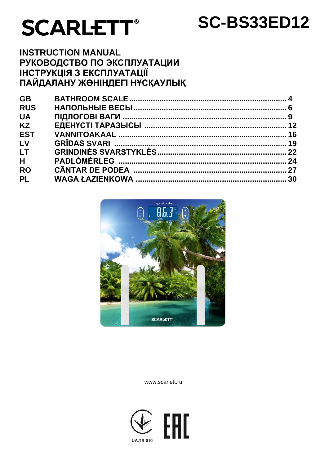# **SCARLETT®**

# **SC-BS33ED12**

# **INSTRUCTION MANUAL** РУКОВОДСТВО ПО ЭКСПЛУАТАЦИИ **ІНСТРУКЦІЯ З ЕКСПЛУАТАЦІЇ** ПАЙДАЛАНУ ЖӨНІНДЕГІ НҰСҚАУЛЫҚ

| <b>GB</b>  |  |
|------------|--|
| <b>RUS</b> |  |
| <b>UA</b>  |  |
| <b>KZ</b>  |  |
| <b>EST</b> |  |
| LV         |  |
| <b>LT</b>  |  |
| H          |  |
| <b>RO</b>  |  |
| <b>PL</b>  |  |
|            |  |



www.scarlett.ru

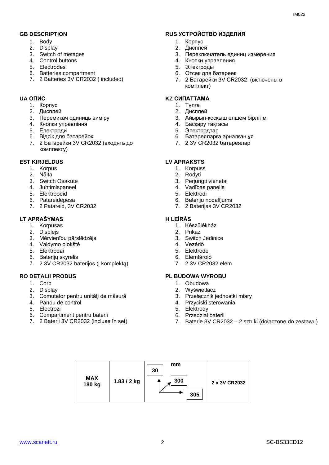- 1. Body
- 2. Display
- 3. Switch of metages
- 4. Control buttons
- 5. Еlectrodes
- 6. Batteries compartment
- 7. 2 Batteries 3V CR2032 ( included)

#### 1. Корпус

- 2. Дисплей
- 3. Перемикач одиниць виміру
- 4. Кнопки управління
- 5. Електроди
- 6. Відсік для батарейок
- 7. 2 Батарейки 3V CR2032 (входять до комплекту)

#### **EST KIRJELDUS LV APRAKSTS**

- 1. Korpus
- 2. Näita
- 3. Switch Osakute
- 4. Juhtimispaneel
- 5. Еlektroodid
- 6. Patareidepesa
- 7. 2 Patareid, 3V CR2032

#### **LT APRAŠYMAS H LEÍRÁS**

- 1. Korpusas
- 2. Displejs
- 3. Mērvienību pārslēdzējs
- 4. Valdymo plokštė
- 5. Еlektrodai
- 6. Baterijų skyrelis
- 7. 2 3V CR2032 baterijos (į komplektą)

- 1. Corp
- 2. Display
- 3. Comutator pentru unități de măsură
- 4. Panou de control
- 5. Electrozi
- 6. Compartiment pentru baterii
- 7. 2 Baterii 3V CR2032 (incluse în set)

#### **GB DESCRIPTION RUS УСТРОЙСТВО ИЗДЕЛИЯ**

- 1. Корпус
- 2. Дисплей
- 3. Переключатель единиц измерения
- 4. Кнопки управления
- 5. Электроды
- 6. Отсек для батареек
- 7. 2 Батарейки 3V CR2032 (включены в комплект)

#### **UA ОПИС KZ СИПАТТАМА**

- 1. Тұлға
- 2. Дисплей
- 3. Айырып-қосқыш өлшем бірлігім
- 4. Басқару тақтасы
- 5. Электродтар
- 6. Батареяларға арналған ұя
- 7. 2 3V CR2032 батареялар

- 1. Korpuss
- 2. Rodyti
- 3. Perjungti vienetai
- 4. Vadības panelis
- 5. Еlektrodi
- 6. Bateriju nodalījums
- 7. 2 Baterijas 3V CR2032

- 1. Készülékház
- 2. Prikaz
- 3. Switch Jedinice
- 4. Vezérlő
- 5. Еlektrode
- 6. Elemtároló
- 7. 2 3V CR2032 elem

#### **RO DETALII PRODUS PL BUDOWA WYROBU**

- 1. Obudowa
- 2. Wyświetlacz
- 3. Przełącznik jednostki miary
- 4. Przyciski sterowania
- 5. Elektrody
- 6. Przedział baterii
- 7. Baterie 3V CR2032 2 sztuki (dołączone do zestawu)

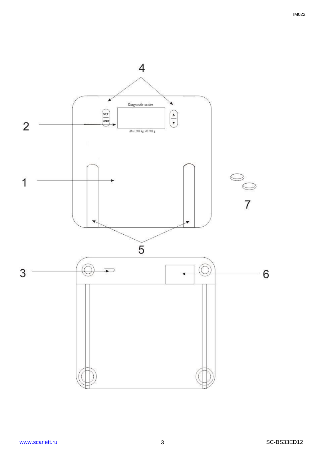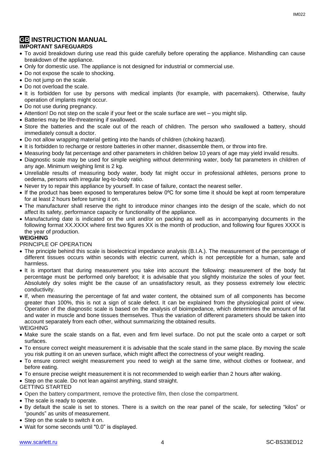#### **GB INSTRUCTION MANUAL IMPORTANT SAFEGUARDS**

- To avoid breakdown during use read this guide carefully before operating the appliance. Mishandling can cause breakdown of the appliance.
- Only for domestic use. The appliance is not designed for industrial or commercial use.
- Do not expose the scale to shocking.
- Do not jump on the scale.
- Do not overload the scale.
- It is forbidden for use by persons with medical implants (for example, with pacemakers). Otherwise, faulty operation of implants might occur.
- Do not use during pregnancy.
- Attention! Do not step on the scale if your feet or the scale surface are wet you might slip.
- Batteries may be life-threatening if swallowed.
- Store the batteries and the scale out of the reach of children. The person who swallowed a battery, should immediately consult a doctor.
- Do not allow wrapping material getting into the hands of children (choking hazard).
- It is forbidden to recharge or restore batteries in other manner, disassemble them, or throw into fire.
- Measuring body fat percentage and other parameters in children below 10 years of age may yield invalid results.
- Diagnostic scale may be used for simple weighing without determining water, body fat parameters in children of any age. Minimum weighing limit is 2 kg.
- Unreliable results of measuring body water, body fat might occur in professional athletes, persons prone to oedema, persons with irregular leg-to-body ratio.
- Never try to repair this appliance by yourself. In case of failure, contact the nearest seller.
- If the product has been exposed to temperatures below 0ºC for some time it should be kept at room temperature for at least 2 hours before turning it on.
- The manufacturer shall reserve the right to introduce minor changes into the design of the scale, which do not affect its safety, performance capacity or functionality of the appliance.
- Manufacturing date is indicated on the unit and/or on packing as well as in accompanying documents in the following format XX.XXXX where first two figures XX is the month of production, and following four figures XXXX is the year of production.

#### **WEIGHING**

#### PRINCIPLE OF OPERATION

- The principle behind this scale is bioelectrical impedance analysis (B.I.A.). The measurement of the percentage of different tissues occurs within seconds with electric current, which is not perceptible for a human, safe and harmless.
- It is important that during measurement you take into account the following: measurement of the body fat percentage must be performed only barefoot; it is advisable that you slightly moisturize the soles of your feet. Absolutely dry soles might be the cause of an unsatisfactory result, as they possess extremely low electric conductivity.
- If, when measuring the percentage of fat and water content, the obtained sum of all components has become greater than 100%, this is not a sign of scale defect. It can be explained from the physiological point of view. Operation of the diagnostic scale is based on the analysis of bioimpedance, which determines the amount of fat and water in muscle and bone tissues themselves. Thus the variation of different parameters should be taken into account separately from each other, without summarizing the obtained results.

WEIGHING

- Make sure the scale stands on a flat, even and firm level surface. Do not put the scale onto a carpet or soft surfaces.
- To ensure correct weight measurement it is advisable that the scale stand in the same place. By moving the scale you risk putting it on an uneven surface, which might affect the correctness of your weight reading.
- To ensure correct weight measurement you need to weigh at the same time, without clothes or footwear, and before eating.
- To ensure precise weight measurement it is not recommended to weigh earlier than 2 hours after waking.
- Step on the scale. Do not lean against anything, stand straight.

GETTING STARTED

- Open the battery compartment, remove the protective film, then close the compartment.
- The scale is ready to operate.
- By default the scale is set to stones. There is a switch on the rear panel of the scale, for selecting "kilos" or "pounds" as units of measurement.
- Step on the scale to switch it on.
- Wait for some seconds until "0.0" is displayed.

IM022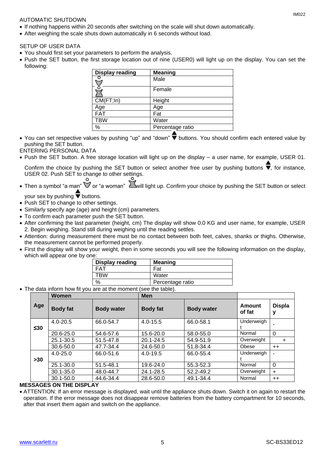#### AUTOMATIC SHUTDOWN

- If nothing happens within 20 seconds after switching on the scale will shut down automatically.
- After weighing the scale shuts down automatically in 6 seconds without load.

#### SETUP OF USER DATA

- You should first set your parameters to perform the analysis.
- Push the SET button, the first storage location out of nine (USER0) will light up on the display. You can set the following:

| <b>Display reading</b> | <b>Meaning</b>   |
|------------------------|------------------|
|                        | Male             |
|                        | Female           |
| CM(FT;In)              | Height           |
| Age                    | Age              |
| <b>FAT</b>             | Fat              |
| <b>TBW</b>             | Water            |
| %                      | Percentage ratio |

• You can set respective values by pushing "up" and "down"  $\blacktriangledown$  buttons. You should confirm each entered value by pushing the SET button.

#### ENTERING PERSONAL DATA

Push the SET button. A free storage location will light up on the display – a user name, for example, USER 01.

Confirm the choice by pushing the SET button or select another free user by pushing buttons  $\overline{\blacktriangledown}$ , for instance, USER 02. Push SET to change to other settings.

• Then a symbol "a man"  $\mathbb Z$  or "a woman"  $\mathbb Z$  will light up. Confirm your choice by pushing the SET button or select

your sex by pushing  $\overline{\blacktriangledown}$  buttons.

- Push SET to change to other settings.
- Similarly specify age (age) and height (cm) parameters.
- To confirm each parameter push the SET button.
- After confirming the last parameter (height, cm) The display will show 0.0 KG and user name, for example, USER 2. Begin weighing. Stand still during weighing until the reading settles.
- Attention: during measurement there must be no contact between both feet, calves, shanks or thighs. Otherwise, the measurement cannot be performed properly.
- First the display will show your weight, then in some seconds you will see the following information on the display, which will appear one by one:

| <b>Display reading</b> | <b>Meaning</b>   |
|------------------------|------------------|
| ד∆⊐                    | Fat              |
| TR\M                   | Water            |
| %                      | Percentage ratio |

The data inform how fit you are at the moment (see the table).

|           | Women           |                   | Men             |                   |                  |               |
|-----------|-----------------|-------------------|-----------------|-------------------|------------------|---------------|
| Age       | <b>Body fat</b> | <b>Body water</b> | <b>Body fat</b> | <b>Body water</b> | Amount<br>of fat | <b>Displa</b> |
| $\leq 30$ | $4.0 - 20.5$    | 66.0-54.7         | $4.0 - 15.5$    | 66.0-58.1         | Underweigh       |               |
|           | $20.6 - 25.0$   | 54.6-57.6         | 15.6-20.0       | 58.0-55.0         | Normal           | 0             |
|           | 25.1-30.5       | 51.5-47.8         | $20.1 - 24.5$   | 54.9-51.9         | Overweight       | +             |
|           | 30.6-50.0       | 47.7-34.4         | 24.6-50.0       | 51.8-34.4         | Obese            | $++$          |
| $>30$     | $4.0 - 25.0$    | 66.0-51.6         | $4.0 - 19.5$    | 66.0-55.4         | Underweigh       |               |
|           | 25.1-30.0       | 51.5-48.1         | 19.6-24.0       | 55.3-52.3         | Normal           | 0             |
|           | $30.1 - 35.0$   | 48.0-44.7         | 24.1-28.5       | 52.2-49.2         | Overweight       | $\ddot{}$     |
|           | $30.1 - 50.0$   | 44.6-34.4         | 28.6-50.0       | 49.1-34.4         | Normal           | $++$          |

#### **MESSAGES ON THE DISPLAY**

 ATTENTION: If an error message is displayed, wait until the appliance shuts down. Switch it on again to restart the operation. If the error message does not disappear remove batteries from the battery compartment for 10 seconds, after that insert them again and switch on the appliance.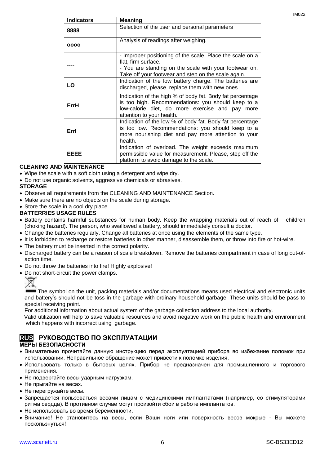| <b>Indicators</b> | <b>Meaning</b>                                                                                                                                                                                    |
|-------------------|---------------------------------------------------------------------------------------------------------------------------------------------------------------------------------------------------|
| 8888              | Selection of the user and personal parameters                                                                                                                                                     |
| 0000              | Analysis of readings after weighing.                                                                                                                                                              |
|                   | - Improper positioning of the scale. Place the scale on a<br>flat, firm surface.<br>- You are standing on the scale with your footwear on.<br>Take off your footwear and step on the scale again. |
| LO                | Indication of the low battery charge. The batteries are<br>discharged, please, replace them with new ones.                                                                                        |
| ErrH              | Indication of the high % of body fat. Body fat percentage<br>is too high. Recommendations: you should keep to a<br>low-calorie diet, do more exercise and pay more<br>attention to your health.   |
| Errl              | Indication of the low % of body fat. Body fat percentage<br>is too low. Recommendations: you should keep to a<br>more nourishing diet and pay more attention to your<br>health.                   |
| EEEE              | Indication of overload. The weight exceeds maximum<br>permissible value for measurement. Please, step off the<br>platform to avoid damage to the scale.                                           |

#### **CLEANING AND MAINTENANCE**

- Wipe the scale with a soft cloth using a detergent and wipe dry.
- Do not use organic solvents, aggressive chemicals or abrasives.

#### **STORAGE**

- Observe all requirements from the CLEANING AND MAINTENANCE Section.
- Make sure there are no objects on the scale during storage.
- Store the scale in a cool dry place.

#### **BATTERRIES USAGE RULES**

- Battery contains harmful substances for human body. Keep the wrapping materials out of reach of children (choking hazard). The person, who swallowed a battery, should immediately consult a doctor.
- Change the batteries regularly. Change all batteries at once using the elements of the same type.
- It is forbidden to recharge or restore batteries in other manner, disassemble them, or throw into fire or hot-wire.
- The battery must be inserted in the correct polarity.
- Discharged battery can be a reason of scale breakdown. Remove the batteries compartment in case of long out-ofaction time.
- Do not throw the batteries into fire! Highly explosive!
- Do not short-circuit the power clamps.



The symbol on the unit, packing materials and/or documentations means used electrical and electronic units and battery's should not be toss in the garbage with ordinary household garbage. These units should be pass to special receiving point.

For additional information about actual system of the garbage collection address to the local authority.

 Valid utilization will help to save valuable resources and avoid negative work on the public health and environment which happens with incorrect using garbage.

### **RUS РУКОВОДСТВО ПО ЭКСПЛУАТАЦИИ**

#### **МЕРЫ БЕЗОПАСНОСТИ**

- Внимательно прочитайте данную инструкцию перед эксплуатацией прибора во избежание поломок при использовании. Неправильное обращение может привести к поломке изделия.
- Использовать только в бытовых целях. Прибор не предназначен для промышленного и торгового применения.
- Не подвергайте весы ударным нагрузкам.
- Не прыгайте на весах.
- Не перегружайте весы.
- Запрещается пользоваться весами лицам с медицинскими имплантатами (например, со стимуляторами ритма сердца). В противном случае могут произойти сбои в работе имплантатов.
- Не использовать во время беременности.
- Внимание! Не становитесь на весы, если Ваши ноги или поверхность весов мокрые Вы можете поскользнуться!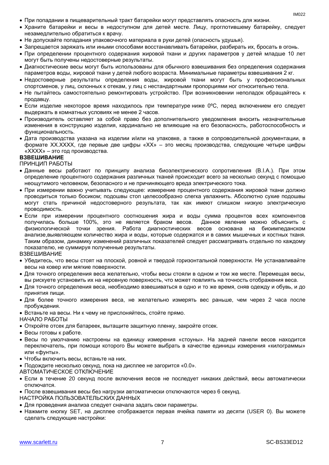- При попадании в пищеварительный тракт батарейки могут представлять опасность для жизни.
- Храните батарейки и весы в недоступном для детей месте. Лицу, проглотившему батарейку, следует незамедлительно обратиться к врачу.
- Не допускайте попадания упаковочного материала в руки детей (опасность удушья).
- Запрещается заряжать или иными способами восстанавливать батарейки, разбирать их, бросать в огонь.
- При определении процентного содержания жировой ткани и других параметров у детей младше 10 лет могут быть получены недостоверные результаты.
- Диагностические весы могут быть использованы для обычного взвешивания без определения содержания параметров воды, жировой ткани у детей любого возраста. Минимальные параметры взвешивания 2 кг.
- Недостоверные результаты определения воды, жировой ткани могут быть у профессиональных спортсменов, у лиц, склонных к отекам, у лиц с нестандартными пропорциями ног относительно тела.
- Не пытайтесь самостоятельно ремонтировать устройство. При возникновении неполадок обращайтесь к продавцу.
- $\bullet$  Если изделие некоторое время находилось при температуре ниже 0°С, перед включением его следует выдержать в комнатных условиях не менее 2 часов.
- Производитель оставляет за собой право без дополнительного уведомления вносить незначительные изменения в конструкцию изделия, кардинально не влияющие на его безопасность, работоспособность и функциональность.
- Дата производства указана на изделии и/или на упаковке, а также в сопроводительной документации, в формате XX.XXXX, где первые две цифры «XX» – это месяц производства, следующие четыре цифры «XXXX» – это год производства.

#### **ВЗВЕШИВАНИЕ**

ПРИНЦИП РАБОТЫ

- Данные весы работают по принципу анализа биоэлектрического сопротивления (B.I.A.). При этом определение процентного содержания различных тканей происходит всего за несколько секунд с помощью неощутимого человеком, безопасного и не причиняющего вреда электрического тока.
- При измерении важно учитывать следующее: измерение процентного содержания жировой ткани должно проводиться только босиком; подошвы стоп целесообразно слегка увлажнить. Абсолютно сухие подошвы могут стать причиной недостоверного результата, так как имеют слишком низкую электрическую проводимость.
- Если при измерении процентного соотношения жира и воды сумма процентов всех компонентов получилась больше 100%, это не является браком весов. Данное явление можно объяснить с физиологической точки зрения. Работа диагностических весов основана на биоимпеданском анализе,выявляющем количество жира и воды, которые содержатся и в самих мышечных и костных тканя. Таким образом, динамику изменений различных показателей следует рассматривать отдельно по каждому показателю, не суммируя полученные результаты.

#### ВЗВЕШИВАНИЕ

- Убедитесь, что весы стоят на плоской, ровной и твердой горизонтальной поверхности. Не устанавливайте весы на ковер или мягкие поверхности.
- Для точного определения веса желательно, чтобы весы стояли в одном и том же месте. Перемещая весы, вы рискуете установить их на неровную поверхность, что может повлиять на точность отображения веса.
- Для точного определения веса, необходимо взвешиваться в одно и то же время, сняв одежду и обувь, и до принятия пищи.
- Для более точного измерения веса, не желательно измерять вес раньше, чем через 2 часа после пробуждения.
- Встаньте на весы. Ни к чему не прислоняйтесь, стойте прямо.
- НАЧАЛО РАБОТЫ
- Откройте отсек для батареек, вытащите защитную пленку, закройте отсек.
- Весы готовы к работе.
- Весы по умолчанию настроены на единицу измерения «стоуны». На задней панели весов находится переключатель, при помощи которого Вы можете выбрать в качестве единицы измерения «килограммы» или «фунты».
- Чтобы включить весы, встаньте на них.
- Подождите несколько секунд, пока на дисплее не загорится «0.0».
- АВТОМАТИЧЕСКОЕ ОТКЛЮЧЕНИЕ
- Если в течение 20 секунд после включения весов не последует никаких действий, весы автоматически отключатся.
- После взвешивания весы без нагрузки автоматически отключаются через 6 секунд.
- НАСТРОЙКА ПОЛЬЗОВАТЕЛЬCКИХ ДАННЫХ
- Для проведения анализа следует сначала задать свои параметры.
- Нажмите кнопку SET, на дисплее отображается первая ячейка памяти из деcяти (USER 0). Вы можете сделать следующие настройки: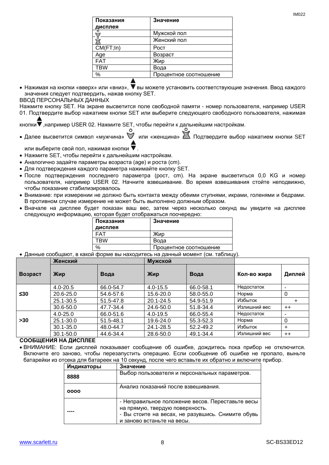| Показания<br>дисплея | Значение               |
|----------------------|------------------------|
|                      | Мужской пол            |
|                      | Женский пол            |
| CM(FT;In)            | Poct                   |
| Age                  | Возраст                |
| <b>FAT</b>           | Жир                    |
| <b>TBW</b>           | Вода                   |
| %                    | Процентное соотношение |
|                      |                        |

• Нажимая на кнопки «вверх» или «вниз»,  $\blacktriangledown$  вы можете установить соответствующие значения. Ввод каждого значения следует подтвердить, нажав кнопку SET.

ВВОД ПЕРСОНАЛЬНЫХ ДАННЫХ

Нажмите кнопку SET. На экране высветится поле свободной памяти - номер пользователя, например USER 01. Подтвердите выбор нажатием кнопки SET или выберите следующего свободного пользователя, нажимая

кнопки  $\nabla$ , например USER 02. Нажмите SET, чтобы перейти к дальнейшим настройкам.

• Далее высветится символ «мужчина»  $\mathbb W$  или «женщина»  $\mathbb Z$ . Подтвердите выбор нажатием кнопки SET

или выберите свой пол. нажимая кнопки  $\blacktriangledown$ .

- Нажмите SET, чтобы перейти к дальнейшим настройкам.
- Аналогично задайте параметры возраста (age) и роста (cm).
- Для подтверждения каждого параметра нажимайте кнопку SET.
- После подтверждения последнего параметра (рост, cm). На экране высветиться 0,0 KG и номер пользователя, например USER 02. Начните взвешивание. Во время взвешивания стойте неподвижно, чтобы показание стабилизировалось
- Внимание: при измерении не должно быть контакта между обеими ступнями, икрами, голенями и бедрами. В противном случае измерение не может быть выполнено должным образом.
- Вначале на дисплее будет показан ваш вес, затем через несколько секунд вы увидите на дисплее следующую информацию, которая будет отображаться поочередно:

| Показания | Значение               |
|-----------|------------------------|
| дисплея   |                        |
| FAT       | Жир                    |
| TRW       | Вода                   |
| $\%$      | Процентное соотношение |

Данные сообщают, в какой форме вы находитесь на данный момент (см. таблицу).

|         | Женский<br>Мужской |           |              |           |              |         |
|---------|--------------------|-----------|--------------|-----------|--------------|---------|
| Возраст | Жир                | Вода      | Жир          | Вода      | Кол-во жира  | Диплей  |
|         | $4.0 - 20.5$       | 66.0-54.7 | $4.0 - 15.5$ | 66.0-58.1 | Недостаток   |         |
| $≤30$   | 20.6-25.0          | 54.6-57.6 | 15.6-20.0    | 58.0-55.0 | Норма        | 0       |
|         | 25.1-30.5          | 51.5-47.8 | 20.1-24.5    | 54.9-51.9 | Избыток      | +       |
|         | 30.6-50.0          | 47.7-34.4 | 24.6-50.0    | 51.8-34.4 | Излишний вес | $^{++}$ |
|         | $4.0 - 25.0$       | 66.0-51.6 | $4.0 - 19.5$ | 66.0-55.4 | Недостаток   |         |
| >30     | 25.1-30.0          | 51.5-48.1 | 19.6-24.0    | 55.3-52.3 | Норма        | 0       |
|         | $30.1 - 35.0$      | 48.0-44.7 | 24.1-28.5    | 52.2-49.2 | Избыток      | ÷       |
|         | $30.1 - 50.0$      | 44.6-34.4 | 28.6-50.0    | 49.1-34.4 | Излишний вес | $++$    |

#### **СООБЩЕНИЯ НА ДИСПЛЕЕ**

 ВНИМАНИЕ: Если дисплей показывает сообщение об ошибке, дождитесь пока прибор не отключится. Включите его заново, чтобы перезапустить операцию. Если сообщение об ошибке не пропало, выньте батарейки из отсека для батареек на 10 секунд, после чего вставьте их обратно и включите прибор.

| Индикаторы | Значение                                                                                                                                                               |
|------------|------------------------------------------------------------------------------------------------------------------------------------------------------------------------|
| 8888       | Выбор пользователя и персональных параметров.                                                                                                                          |
| 0000       | Анализ показаний после взвешивания.                                                                                                                                    |
|            | - Неправильное положение весов. Переставьте весы<br>на прямую, твердую поверхность.<br>- Вы стоите на весах, не разувшись. Снимите обувь<br>и заново встаньте на весы. |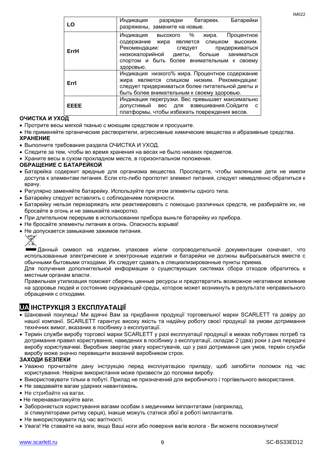IM022

| LO          | Батарейки<br>Индикация<br>батареек.<br>разрядки<br>разряжены, замените на новые. |
|-------------|----------------------------------------------------------------------------------|
|             |                                                                                  |
|             | Индикация высокого %<br>Процентное<br>жира.                                      |
|             | содержание жира является слишком высоким.                                        |
| ErrH        | Рекомендации: следует<br>придерживаться                                          |
|             | низкокалорийной диеты, больше заниматься                                         |
|             | спортом и быть более внимательным к своему                                       |
|             | здоровью.                                                                        |
|             | Индикация низкого% жира. Процентное содержание                                   |
|             | жира является слишком низким. Рекомендации:                                      |
| Errl        | следует придерживаться более питательной диеты и                                 |
|             | быть более внимательным к своему здоровью.                                       |
|             | Индикация перегрузки. Вес превышает максимально                                  |
| <b>FFFF</b> | допустимый вес для взвешивания. Сойдите                                          |
|             | платформы, чтобы избежать повреждения весов.                                     |

#### **ОЧИСТКА И УХОД**

- Протрите весы мягкой тканью с моющим средством и просушите.
- Не применяйте органические растворители, агрессивные химические вещества и абразивные средства. **ХРАНЕНИЕ**
- Выполните требования раздела ОЧИСТКА И УХОД.
- Следите за тем, чтобы во время хранения на весах не было никаких предметов.
- Храните весы в сухом прохладном месте, в горизонтальном положении.

#### **ОБРАЩЕНИЕ С БАТАРЕЙКОЙ**

- Батарейка содержит вредные для организма вещества. Проследите, чтобы маленькие дети не имели доступа к элементам питания. Если кто-либо проглотит элемент питания, следует немедленно обратиться к врачу.
- Регулярно заменяйте батарейку. Используйте при этом элементы одного типа.
- Батарейку следует вставлять с соблюдением полярности.
- Батарейку нельзя перезаряжать или реактивировать с помощью различных средств, не разбирайте их, не бросайте в огонь и не замыкайте накоротко.
- При длительном перерыве в использовании прибора выньте батарейку из прибора.
- Не бросайте элементы питания в огонь. Опасность взрыва!
- Не допускается замыкание зажимов питания.



Данный символ на изделии, упаковке и/или сопроводительной документации означает, что использованные электрические и электронные изделия и батарейки не должны выбрасываться вместе с обычными бытовыми отходами. Их следует сдавать в специализированные пункты приема.

Для получения дополнительной информации о существующих системах сбора отходов обратитесь к местным органам власти.

Правильная утилизация поможет сберечь ценные ресурсы и предотвратить возможное негативное влияние на здоровье людей и состояние окружающей среды, которое может возникнуть в результате неправильного обращения с отходами.

## **UA ІНСТРУКЦІЯ З ЕКСПЛУАТАЦІЇ**

- Шановний покупець! Ми вдячні Вам за придбання продукції торговельної марки SCARLETT та довіру до нашої компанії. SCARLETT гарантує високу якість та надійну роботу своєї продукції за умови дотримання технічних вимог, вказаних в посібнику з експлуатації.
- Термін служби виробу торгової марки SCARLETT у разі експлуатації продукції в межах побутових потреб та дотримання правил користування, наведених в посібнику з експлуатації, складає 2 (два) роки з дня передачі виробу користувачеві. Виробник звертає увагу користувачів, що у разі дотримання цих умов, термін служби виробу може значно перевищити вказаний виробником строк.

#### **ЗАХОДИ БЕЗПЕКИ**

- Уважно прочитайте дану інструкцію перед експлуатацією приладу, щоб запобігти поломок під час користування. Невірне використання може призвести до поломки виробу.
- Використовувати тільки в побуті. Прилад не призначений для виробничого і торгівельного використання.
- Не завдавайте вагам ударних навантажень.
- Не стрибайте на вагах.
- Не перенавантажуйте ваги.
- Забороняється користування вагами особам з медичними імплантатами (наприклад, зі стимуляторами ритму серця), інакше можуть статися збої в роботі імплантатів.
- Не використовувати під час вагітності.
- Увага! Не ставайте на ваги, якщо Ваші ноги або поверхня вагів волога Ви можете посковзнутися!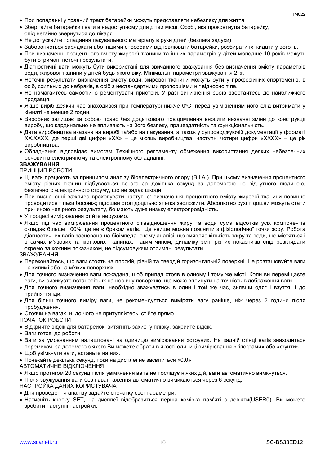- При попаданні у травний тракт батарейки можуть представляти небезпеку для життя.
- Зберігайте батарейки і ваги в недоступному для дітей місці. Особі, яка проковтнула батарейку, слід негайно звернутися до лікаря.
- Не допускайте попадання пакувального матеріалу в руки дітей (безпека задухи).
- Забороняється заряджати або іншими способами відновлювати батарейки, розбирати їх, кидати у вогонь.
- При визначенні процентного вмісту жирової тканини та інших параметрів у дітей молодше 10 років можуть бути отримані неточні результати.
- Діагностичні ваги можуть бути використані для звичайного зважування без визначення вмісту параметрів води, жирової тканини у дітей будь-якого віку. Мінімальні параметри зважування 2 кг.
- Неточні результати визначення вмісту води, жирової тканини можуть бути у професійних спортсменів, в осіб, схильних до набряків, в осіб з нестандартними пропорціями ніг відносно тіла.
- Не намагайтесь самостійно ремонтувати пристрій. У разі виникнення збоїв звертайтесь до найближчого продавця.
- Якщо виріб деякий час знаходився при температурі нижче 0ºC, перед увімкненням його слід витримати у кімнаті не менше 2 годин.
- Виробник залишає за собою право без додаткового повідомлення вносити незначні зміни до конструкції виробу, що кардинально не впливають на його безпеку, працездатність та функціональність.
- Дата виробництва вказана на виробі та/або на пакування, а також у супроводжуючій документації у форматі XX.XXXX, де перші дві цифри «XX» – це місяць виробництва, наступні чотири цифри «XXXX» – це рік виробництва.
- Обладнання відповідає вимогам Технічного регламенту обмеження використання деяких небезпечних речовин в електричному та електронному обладнанні.

#### **ЗВАЖУВАННЯ**

#### ПРИНЦИП РОБОТИ

- Ці ваги працюють за принципом аналізу біоелектричного опору (B.I.A.). При цьому визначення процентного вмісту різних тканин відбувається всього за декілька секунд за допомогою не відчутного людиною, безпечного електричного струму, що не задає шкоди.
- При визначенні важливо враховувати наступне: визначення процентного вмісту жирової тканини повинно проводитися тільки босоніж; підошви стоп доцільно злегка зволожити. Абсолютно сухі підошви можуть стати причиною невірного результату, бо мають дуже низьку електропровідність.
- У процесі вимірювання стійте нерухомо.
- Якщо під час вимірювання процентного співвідношення жиру та води сума відсотків усіх компонентів складає більше 100%, це не є браком вагів. Це явище можна пояснити з фізіологічної точки зору. Робота діагностичних вагів заснована на біоімпедансному аналізі, що виявляє кількість жиру та води, що містяться і в самих м'язових та кісткових тканинах. Таким чином, динаміку змін різних показників слід розглядати окремо за кожним показником, не підсумовуючи отримані результати.

#### ЗВАЖУВАННЯ

- Переконайтесь, що ваги стоять на плоскій, рівній та твердій горизонтальній поверхні. Не розташовуйте ваги на килимі або на м'яких поверхнях.
- Для точного визначення ваги пожадана, щоб прилад стояв в одному і тому же місті. Коли ви переміщаєте ваги, ви ризикуєте встановіть їх на нерівну поверхню, що може вплинути на точність відображення ваги.
- Для точного визначення ваги, необхідно зважуватись в один і той же час, знявши одяг і взуття, і до прийняття їди.
- Для більш точного виміру ваги, не рекомендується виміряти вагу раніше, ніж через 2 години після пробудження.
- Стоячи на вагах, ні до чого не притуляйтесь, стійте прямо.
- ПОЧАТОК РОБОТИ
- Відкрийте відсік для батарейок, витягніть захисну плівку, закрийте відсік.
- Ваги готові до роботи.
- Ваги за умовчанням налаштовані на одиницю вимірювання «стоуни». На задній стінці вагів знаходиться перемикач, за допомогою якого Ви можете обрати в якості одиниці вимірювання «кілограми» або «фунти».
- Щоб увімкнути ваги, встаньте на них.
- Почекайте декілька секунд, поки на дисплеї не засвітиться «0.0».
- АВТОМАТИЧНЕ ВІДКЛЮЧЕННЯ
- Якщо протягом 20 секунд після увімкнення вагів не послідує ніяких дій, ваги автоматично вимкнуться.
- Після звужування ваги без навантаження автоматично вимикаються через 6 секунд.
- НАСТРОЙКА ДАНИХ КОРИСТУВАЧА
- Для проведення аналізу задайте спочатку свої параметри.
- Натисніть кнопку SET, на дисплеї відобразиться перша комірка пам'яті з дев'яти(USER0). Ви можете зробити наступні настройки: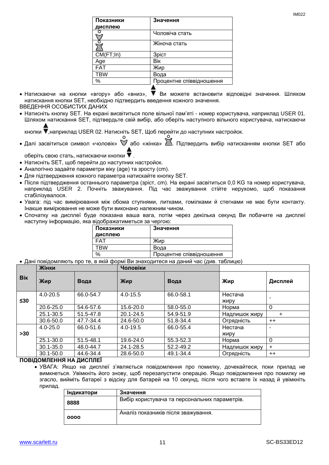| Показники  | Значення                 |
|------------|--------------------------|
| дисплею    |                          |
|            | Чоловіча стать           |
|            | Жіноча стать             |
| CM(FT;In)  | Зріст                    |
| Age        | Bik                      |
| <b>FAT</b> | Жир                      |
| TBW        | Вода                     |
| %          | Процентне співвідношення |
|            |                          |

- Натискаючи на кнопки «вгору» або «вниз», V Ви можете встановити відповідні значення. Шляхом натискання кнопки SET, необхідно підтвердить введення кожного значення. ВВЕДЕННЯ ОСОБИСТИХ ДАНИХ
- Натисніть кнопку SET. На екрані висвітиться поле вільної пам'яті номер користувача, наприклад USER 01. Шляхом натискання SET, підтвердьте свій вибір, або оберіть наступного вільного користувача, натискаючи

кнопки ,наприклад USER 02. Натисніть SET, Щоб перейти до наступних настройок.

• Далі засвітиться символ «чоловік»  $\mathbb V$  або «жінка»  $\mathbb Z$ . Підтвердить вибір натисканням кнопки SET або

оберіть свою стать, натискаючи кнопки .

- Натисніть SET, щоб перейти до наступних настройок.
- Аналогічно задайте параметри віку (age) та зросту (cm).
- Для підтвердження кожного параметра натискайте кнопку SET.
- Після підтвердження останнього параметра (зріст, cm). На екрані засвітиться 0,0 KG та номер користувача, наприклад USER 2. Почніть зважування. Під час зважування стійте нерухомо, щоб показання стабілізувалося.
- Увага: під час вимірювання між обома ступнями, литками, гомілками й стегнами не має бути контакту. Інакше вимірювання не може бути виконано належним чином.
- Спочатку на дисплеї буде показана ваша вага, потім через декілька секунд Ви побачите на дисплеї наступну інформацію, яка відображатиметься за чергою:

| Показники | Значення                 |
|-----------|--------------------------|
| дисплею   |                          |
| FAT       | Жир                      |
| TBW       | Вода                     |
| $\%$      | Процентне співвідношення |
|           |                          |

Дані повідомляють про те, в якій формі Ви знаходитеся на даний час (див. таблицю)

|            | Жінки         |           | Чоловіки     |           |                 |                |
|------------|---------------|-----------|--------------|-----------|-----------------|----------------|
| <b>Bik</b> | Жир           | Вода      | Жир          | Вода      | Жир             | Дисплей        |
| $\leq 30$  | $4.0 - 20.5$  | 66.0-54.7 | $4.0 - 15.5$ | 66.0-58.1 | Нестача<br>жиру | ٠              |
|            | 20.6-25.0     | 54.6-57.6 | 15.6-20.0    | 58.0-55.0 | Норма           | $\Omega$       |
|            | 25.1-30.5     | 51.5-47.8 | 20.1-24.5    | 54.9-51.9 | Надлишок жиру   | $\pm$          |
|            | 30.6-50.0     | 47.7-34.4 | 24.6-50.0    | 51.8-34.4 | Огрядність      | $++$           |
|            | $4.0 - 25.0$  | 66.0-51.6 | $4.0 - 19.5$ | 66.0-55.4 | Нестача         |                |
| >30        |               |           |              |           | ЖИРУ            |                |
|            | 25.1-30.0     | 51.5-48.1 | 19.6-24.0    | 55.3-52.3 | Норма           | $\overline{0}$ |
|            | $30.1 - 35.0$ | 48.0-44.7 | 24.1-28.5    | 52.2-49.2 | Надлишок жиру   | $+$            |
|            | $30.1 - 50.0$ | 44.6-34.4 | 28.6-50.0    | 49.1-34.4 | Огрядність      | $++$           |

#### **ПОВІДОМЛЕННЯ НА ДИСПЛЕЇ**

 УВАГА: Якщо на дисплеї з'являється повідомлення про помилку, дочекайтеся, поки прилад не вимкнеться. Увімкніть його знову, щоб перезапустити операцію. Якщо повідомлення про помилку не згасло, вийміть батареї з відсіку для батарей на 10 секунд, після чого вставте їх назад й увімкніть прилад.

| Індикатори | Значення                                      |
|------------|-----------------------------------------------|
| 8888       | Вибір користувача та персональних параметрів. |
| 0000       | Аналіз показників після зважування.           |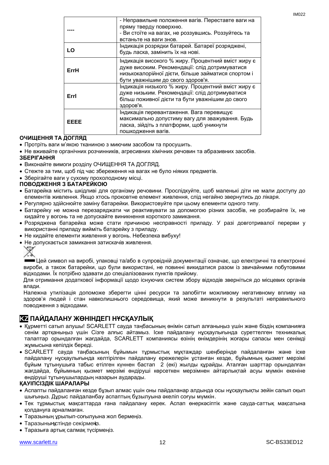|      | - Неправильне положення вагів. Переставте ваги на<br>пряму тверду поверхню.             |
|------|-----------------------------------------------------------------------------------------|
|      | - Ви стоїте на вагах, не роззувшись. Роззуйтесь та                                      |
|      | встаньте на ваги знов.                                                                  |
|      | Індикація розрядки батарей. Батареї розряджені,                                         |
| LO   | будь ласка, замінить їх на нові.                                                        |
|      | Індикація високого % жиру. Процентний вміст жиру є                                      |
| ErrH | дуже високим. Рекомендації: слід дотримуватися                                          |
|      | низькокалорійної дієти, більше займатися спортом і<br>бути уважнішим до свого здоров'я. |
|      | Індикація низького % жиру. Процентний вміст жиру є                                      |
| Errl | дуже низьким. Рекомендації: слід дотримуватися                                          |
|      | більш поживної дієти та бути уважнішим до свого                                         |
|      | здоров'я.                                                                               |
|      | Індикація перевантаження. Вага перевищує                                                |
| EEEE | максимально допустиму вагу для зважування. Будь                                         |
|      | ласка, зійдіть з платформи, щоб уникнути                                                |
|      | пошкодження вагів.                                                                      |

#### **ОЧИЩЕННЯ ТА ДОГЛЯД**

- Протріть ваги м'якою тканиною з миючим засобом та просушить.
- Не вживайте органічних розчинників, агресивних хімічних речовин та абразивних засобів. **ЗБЕРІГАННЯ**
- Виконайте вимоги розділу ОЧИЩЕННЯ ТА ДОГЛЯД.
- Стежте за тим, щоб під час збереження на вагах не було ніяких предметів.
- Зберігайте ваги у сухому прохолодному місці.

#### **ПОВОДЖЕННЯ З БАТАРЕЙКОЮ**

- Батарейка містить шкідливі для організму речовини. Прослідкуйте, щоб маленькі діти не мали доступу до елементів живлення. Якщо хтось проковтне елемент живлення, слід негайно звернутись до лікаря.
- Регулярно здійснюйте заміну батарейки. Використовуйте при цьому елементи одного типу.
- Батарейку не можна перезаряджати чи реактивувати за допомогою різних засобів, не розбирайте їх, не кидайте у вогонь та не допускайте виникнення короткого замикання.
- Розряджена батарейка може стати причиною несправності приладу. У разі довготривалої перерви у використанні приладу вийміть батарейку з приладу.
- Не кидайте елементи живлення у вогонь. Небезпека вибуху!
- Не допускається замикання затискачів живлення.

Цей символ на виробі, упаковці та/або в супровідній документації означає, що електричні та електронні вироби, а також батарейки, що були використані, не повинні викидатися разом із звичайними побутовими відходами. Їх потрібно здавати до спеціалізованих пунктів прийому.

Для отримання додаткової інформації щодо існуючих систем збору відходів зверніться до місцевих органів влади.

Належна утилізація допоможе зберегти цінні ресурси та запобігти можливому негативному впливу на здоров'я людей і стан навколишнього середовища, який може виникнути в результаті неправильного поводження з відходами.

### **KZ ПАЙДАЛАНУ ЖӨНІНДЕГІ НҰСҚАУЛЫҚ**

- Құрметті сатып алушы! SCARLETT сауда таңбасының өнімін сатып алғаныңыз үшін және біздің компанияға сенім артқаныңыз үшін Сізге алғыс айтамыз. Іске пайдалану нұсқаулығында суреттелген техникалық талаптар орындалған жағдайда, SCARLETT компаниясы өзінің өнімдерінің жоғары сапасы мен сенімді жұмысына кепілдік береді.
- SCARLETT сауда таңбасының бұйымын тұрмыстық мұқтаждар шеңберінде пайдаланған және іске пайдалану нұсқаулығында келтірілген пайдалану ережелерін ұстанған кезде, бұйымның қызмет мерзімі бұйым тұтынушыға табыс етілген күннен бастап 2 (екі) жылды құрайды. Аталған шарттар орындалған жағдайда, бұйымның қызмет мерзімі өндіруші көрсеткен мерзімнен айтарлықтай асуы мүмкін екеніне өндіруші тұтынушылардың назарын аударады.

#### **ҚАУІПСІЗДІК ШАРАЛАРЫ**

- Аспапты пайдаланған кезде бұзып алмас үшін оны пайдаланар алдында осы нұсқаулықты зейін салып оқып шығыңыз. Дұрыс пайдаланбау аспаптың бұзылуына әкеліп соғуы мүмкін.
- Тек тұрмыстық мақсаттарда ғана пайдалану керек. Аспап өнеркәсіптік және сауда-саттық мақсатына қолдануға арналмаған.
- Таразының ұрылып-соғылуына жол бермеңіз.
- Таразының стінде секірменз.
- Таразыға артық салмақ түсірмеңіз.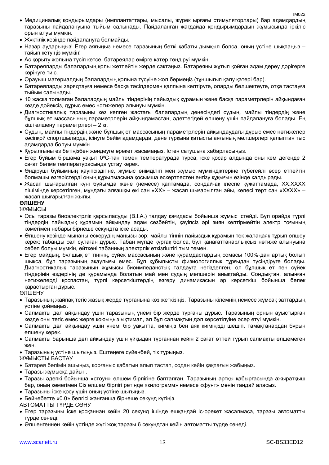- Медициналық қондырымдары (имплантаттары, мысалы, жүрек ырғағы стимуляторлары) бар адамдардың таразыны пайдалануына тыйым салынады. Пайдаланған жағдайда қондырымдардың жұмысында іркіліс орын алуы мүмкін.
- Жүктілік кезінде пайдалануға болмайды.
- Назар аударыңыз! Егер аяғыңыз немесе таразының беткі қабаты дымқыл болса, оның үстіне шықпаңыз тайып кетуіңіз мүмкін!
- Ас қорыту жолына түсіп кетсе, батареялар өмірге қатер төндіруі мүмкін.
- Батареяларды балалардың қолы жетпейтін жерде сақтаңыз. Батареяны жұтып қойған адам дереу дәрігерге көрінуге тиіс.
- Орауыш материалдың балалардың қолына түсуіне жол бермеңіз (тұншығып қалу қатері бар).
- Батареяларды зарядтауға немесе басқа тәсілдермен қалпына келтіруге, оларды бөлшектеуге, отқа тастауға тыйым салынады.
- 10 жасқа толмаған балалардың майлы тіндерінің пайыздық құрамын және басқа параметрлерін айқындаған кезде дәйексіз, дұрыс емес нәтижелер алынуы мүмкін.
- Диагностикалық таразыны кез келген жастағы балалардың денесіндегі судың, майлы тіндердің және бұлшық ет массасының параметрлерін айқындамастан, әдеттегідей өлшену үшін пайдалануға болады. Ең кіші өлшену параметрлері – 2 кг.
- Судың, майлы тіндердің және бұлшық ет массасының параметрлерін айқындаудағы дұрыс емес нәтижелер кәсіпқой спортшыларда, ісінуге бейім адамдарда, дене тұрқына қатысты аяғының мөлшерлері қалыптан тыс адамдарда болуы мүмкін.
- Құрылғыны өз бетіңізбен жөндеуге әрекет жасамаңыз. Істен сатушыға хабарласыңыз.
- Егер бұйым біршама уақыт 0ºC-тан төмен температурада тұрса, іске қосар алдында оны кем дегенде 2 сағат бөлме температурасында ұстау керек.
- Өндіруші бұйымның қауіпсіздігіне, жұмыс өнімділігі мен жұмыс мүмкіндіктеріне түбегейлі әсер етпейтін болмашы өзгерістерді оның құрылмасына қосымша ескертпестен енгізу құқығын өзінде қалдырады.
- Жасап шығарылған күні бұйымда және (немесе) қаптамада, сондай-ақ ілеспе құжаттамада, XX.XXXX пішімінде көрсетілген, мұндағы алғашқы екі сан «XX» – жасап шығарылған айы, келесі төрт сан «XXXX» – жасап шығарылған жылы.

#### **ӨЛШЕНУ**

ЖҰМЫСЫ

- Осы таразы биоэлектрлік қарсыласуды (B.I.A.) талдау қағидасы бойынша жұмыс істейді. Бұл орайда түрлі тіндердің пайыздық құрамын айқындау адам сезбейтін, қауіпсіз әрі зиян келтірмейтін электр тоғының көмегімен небары бірнеше секундта іске асады.
- Өлшену кезінде мынаны ескерудің маңызы зор: майлы тіннің пайыздық құрамын тек жалаңаяқ тұрып өлшеу керек; табанды сәл сулаған дұрыс. Табан мүлде құрғақ болса, бұл қанағаттанарлықсыз нәтиже алынуына себеп болуы мүмкін, өйткені табанның электрлік өткізгіштігі тым төмен.
- Егер майдың, бұлшық ет тінінің, сүйек массасының және құрамдастардың сомасы 100%-дан артық болып шықса, бұл таразының ақаулығы емес. Бұл құбылысты физиологиялық тұрғыдан түсіндіруге болады. Диагностикалық таразының жұмысы биоимпеданстық талдауға негізделген, ол бұлшық ет пен сүйек тіндерінің өздерінің де құрамында болатын май мен судың мөлшерін анықтайды. Сондықтан, алынған нәтижелерді қоспастан, түрлі көрсеткіштердің өзгеру динамикасын әр көрсеткіш бойынша бөлек қарастырған дұрыс.

#### ӨЛШЕНУ

- Таразының жайпақ тегіс жазық жерде тұрғанына көз жеткізіңіз. Таразыны кілемнің немесе жұмсақ заттардың үстіне қоймаңыз.
- Салмақты дәл айқындау үшін таразының үнемі бір жерде тұрғаны дұрыс. Таразының орнын ауыстырған кезде оны тегіс емес жерге қоюыңыз ықтимал, ал бұл салмақтың дәл көрсетілуіне әсер етуі мүмкін.
- Салмақты дәл айқындау үшін үнемі бір уақытта, киіміңіз бен аяқ киіміңізді шешіп, тамақтанардан бұрын өлшену керек.
- Салмақты барынша дәл айқындау үшін ұйқыдан тұрғаннан кейін 2 сағат өтпей тұрып салмақты өлшемеген жөн.
- Таразының үстіне шығыңыз. Ештеңеге сүйенбей, тік тұрыңыз.

ЖҰМЫСТЫ БАСТАУ

- Батарея бөлімін ашыңыз, қорғаныс қабатын алып тастап, содан кейін қақпағын жабыңыз.
- Таразы жұмысқа дайын.
- Таразы әдепкі бойынша «стоун» өлшем бірлігіне бапталған. Таразының артқы қабырғасында ажыратқыш бар, оның көмегімен Сіз өлшем бірлігі ретінде «килограмм» немесе «фунт» мәнін таңдай аласыз.
- Таразыны іске қосу үшін оның үстіне шығыңыз.
- Бейнебетте «0.0» белгісі жанғанша бірнеше секунд күтіңіз.
- АВТОМАТТЫ ТҮРДЕ СӨНУ
- Егер таразыны іске қосқаннан кейін 20 секунд ішінде ешқандай іс-әрекет жасалмаса, таразы автоматты түрде сөнеді.
- Өлшенгеннен кейін үстінде жүгі жоқ таразы 6 секундтан кейін автоматты түрде сөнеді.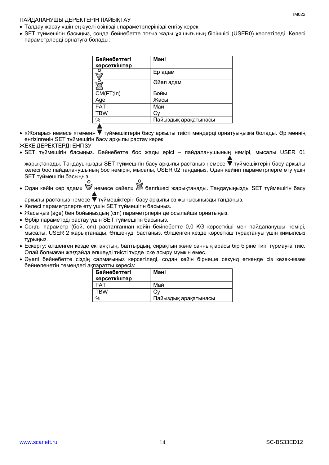#### ПАЙДАЛАНУШЫ ДЕРЕКТЕРІН ЛАЙЫҚТАУ

- Талдау жасау үшін ең әуелі өзіңіздің параметрлеріңізді енгізу керек.
- SET түймешігін басыңыз, сонда бейнебетте тоғыз жады ұяшығының біріншісі (USER0) көрсетіледі. Келесі параметрлерді орнатуға болады:

| Бейнебеттегі<br>көрсеткіштер | Мәні                 |
|------------------------------|----------------------|
|                              | Ер адам              |
|                              | Әйел адам            |
| CM(FT;In)                    | Бойы                 |
| Age                          | Жасы                 |
| <b>FAT</b>                   | Май                  |
| <b>TBW</b>                   |                      |
| %                            | Пайыздық арақатынасы |
|                              |                      |

- «Жоғары» немесе «төмен» түймешіктерін басу арқылы тиісті мәндерді орнатуыңызға болады. Әр мәннің енгізілгенін SET түймешігін басу арқылы растау керек. ЖЕКЕ ДЕРЕКТЕРДІ ЕНГІЗУ
- SET түймешігін басыңыз. Бейнебетте бос жады өрісі пайдаланушының нөмірі, мысалы USER 01

жарықтанады. Таңдауыңызды SET түймешігін басу арқылы растаңыз немесе  $\blacktriangledown$  түймешіктерін басу арқылы келесі бос пайдаланушының бос нөмірін, мысалы, USER 02 таңдаңыз. Одан кейінгі параметрлерге өту үшін SET түймешігін басыңыз.

• Одан кейін «ер адам»  $\check{\mathbb{V}}$  немесе «әйел»  $\check{\mathbb{Z}}$  белгішесі жарықтанады. Таңдауыңызды SET түймешігін басу

арқылы растаңыз немесе түймешіктерін басу арқылы өз жынысыңызды таңдаңыз.

- Келесі параметрлерге өту үшін SET түймешігін басыңыз.
- Жасыңыз (age) бен бойыңыздың (cm) параметрлерін де осылайша орнатыңыз.
- Әрбір параметрді растау үшін SET түймешігін басыңыз.
- Соңғы параметр (бой, cm) расталғаннан кейін бейнебетте 0,0 KG көрсеткіші мен пайдаланушы нөмірі, мысалы, USER 2 жарықтанады. Өлшенуді бастаңыз. Өлшенген кезде көрсеткіш тұрақтануы үшін қимылсыз тұрыңыз.
- Ескерту: өлшенген кезде екі аяқтың, балтырдың, сирақтың және санның арасы бір біріне тиіп тұрмауға тиіс. Олай болмаған жағдайда өлшеуді тиісті түрде іске асыру мүмкін емес.
- Әуелі бейнебетте сіздің салмағыңыз көрсетіледі, содан кейін бірнеше секунд өткенде сіз кезек-кезек бейнеленетін төмендегі ақпаратты көресіз:

| Бейнебеттегі | Мәні                 |
|--------------|----------------------|
| көрсеткіштер |                      |
| FAT          | Май                  |
| TRW          |                      |
| $\%$         | Пайыздық арақатынасы |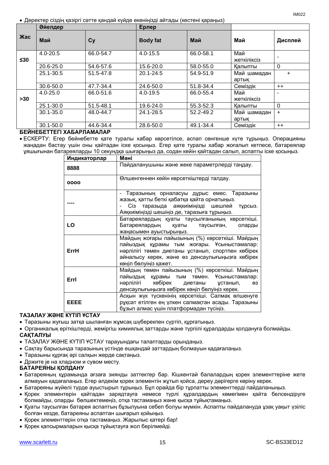Деректер сіздің қазіргі сәтте қандай күйде екеніңізді айтады (кестені қараңыз)

|            | Әйелдер       |           | Ерлер           |           |                    |           |
|------------|---------------|-----------|-----------------|-----------|--------------------|-----------|
| <b>Жас</b> | Май           | Cy        | <b>Body fat</b> | Май       | Май                | Дисплей   |
| ≤30        | $4.0 - 20.5$  | 66.0-54.7 | $4.0 - 15.5$    | 66.0-58.1 | Май<br>жеткіліксіз |           |
|            | 20.6-25.0     | 54.6-57.6 | 15.6-20.0       | 58.0-55.0 | Калыпты            | $\Omega$  |
|            | 25.1-30.5     | 51.5-47.8 | 20.1-24.5       | 54.9-51.9 | Май шамадан        | $\ddot{}$ |
|            |               |           |                 |           | артык              |           |
|            | 30.6-50.0     | 47.7-34.4 | 24.6-50.0       | 51.8-34.4 | Семіздік           | $++$      |
|            | $4.0 - 25.0$  | 66.0-51.6 | 4.0-19.5        | 66.0-55.4 | Май                |           |
| >30        |               |           |                 |           | жеткіліксіз        |           |
|            | 25.1-30.0     | 51.5-48.1 | 19.6-24.0       | 55.3-52.3 | Калыпты            | $\Omega$  |
|            | $30.1 - 35.0$ | 48.0-44.7 | 24.1-28.5       | 52.2-49.2 | Май шамадан        | $+$       |
|            |               |           |                 |           | артык              |           |
|            | $30.1 - 50.0$ | 44.6-34.4 | 28.6-50.0       | 49.1-34.4 | Семіздік           | $++$      |

### **БЕЙНЕБЕТТЕГІ ХАБАРЛАМАЛАР**

 ЕСКЕРТУ: Егер бейнебетте қате туралы хабар көрсетілсе, аспап сөнгенше күте тұрыңыз. Операцияны жаңадан бастау үшін оны қайтадан іске қосыңыз. Егер қате туралы хабар жоғалып кетпесе, батареялар ұяшығынан батареяларды 10 секундқа шығарыңыз да, содан кейін қайтадан салып, аспапты іске қосыңыз.

| Индикаторлар | Мәні                                                                                                                                                                                                                          |
|--------------|-------------------------------------------------------------------------------------------------------------------------------------------------------------------------------------------------------------------------------|
| 8888         | Пайдаланушыны және жеке параметрлерді таңдау.                                                                                                                                                                                 |
| 0000         | Өлшенгеннен кейін көрсеткіштерді талдау.                                                                                                                                                                                      |
|              | Таразының орналасуы дұрыс емес. Таразыны<br>жазық, қатты беткі қабатқа қайта орнатыңыз.<br>Сіз таразыда аяқкиіміңізді шешпей<br>тұрсыз.<br>Аяқкиіміңізді шешіңіз де, таразыға тұрыңыз.                                        |
| LO           | Батареялардың қуаты таусылғанының көрсеткіші.<br>Батареялардың қуаты таусылған,<br>оларды<br>жаңасымен ауыстырыңыз.                                                                                                           |
| <b>ErrH</b>  | Майдың жоғары пайызының (%) көрсеткіші. Майдың<br>пайыздық құрамы тым жоғары. Ұсыныстамалар:<br>нәрлілігі төмен диетаны ұстанып, спортпен көбірек<br>айналысу керек, және өз денсаулығыңызға көбірек<br>көңіл бөлуіңіз қажет. |
| Errl         | Майдың төмен пайызының (%) көрсеткіші. Майдың<br>пайыздық<br>құрамы тым төмен. Ұсыныстамалар:<br>нәрлілігі<br>көбірек<br>диетаны ұстанып,<br>өз<br>денсаулығыңызға көбірек көңіл бөлуіңіз керек.                              |
| <b>EEEE</b>  | Асқын жүк түскенінің көрсеткіші. Салмақ өлшенуге<br>рұқсат етілген ең үлкен салмақтан асады. Таразыны<br>бұзып алмас үшін платформадан түсіңіз.                                                                               |

#### **ТАЗАЛАУ ЖӘНЕ КҮТІП ҰСТАУ**

- Таразыны жуғыш затқа шыланған жұмсақ шүберекпен сүртіп, құрғатыңыз.
- Органикалық еріткіштерді, жеміргіш химиялық заттарды және түрпілі құралдарды қолдануға болмайды. **САҚТАЛУЫ**
- ТАЗАЛАУ ЖӘНЕ КҮТІП ҰСТАУ тарауындағы талаптарды орындаңыз.
- Сақтау барысында таразының үстінде ешқандай заттардың болмауын қадағалаңыз.
- Таразыны құрғақ әрі салқын жерде сақтаңыз.
- Држите је на хладном и сувом месту.

### **БАТАРЕЯНЫ ҚОЛДАНУ**

- Батареяның құрамында ағзаға зиянды заттектер бар. Кішкентай балалардың қорек элементтеріне жете алмауын қадағалаңыз. Егер әлдекім қорек элементін жұтып қойса, дереу дәрігерге көріну керек.
- Батареяны жүйелі түрде ауыстырып тұрыңыз. Бұл орайда бір тұрпатты элементтерді пайдаланыңыз.
- Қорек элементерін қайтадан зарядтауға немесе түрлі құралдардың көмегімен қайта белсендіруге болмайды, оларды бөлшектемеңіз, отқа тастамаңыз және қысқа тұйықтамаңыз.
- Қуаты таусылған батарея аспаптың бұзылуына себеп болуы мүмкін. Аспапты пайдалануда ұзақ уақыт үзіліс болған кезде, батареяны аспаптан шығарып қойыңыз.
- Қорек элементтерін отқа тастамаңыз. Жарылыс қатері бар!
- Қорек қапсырмаларын қысқа тұйықтауға жол берілмейді.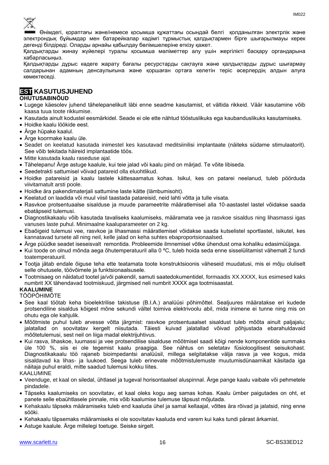

Өнімдегі, қораптағы және/немесе қосымша құжаттағы осындай белгі қолданылған электрлік және электрондық бұйымдар мен батарейкалар кәдімгі тұрмыстық қалдықтармен бірге шығарылмауы керек дегенді білдіреді. Оларды арнайы қабылдау бөлімшелеріне өткізу қажет.

Қалдықтарды жинау жүйелері туралы қосымша мәліметтер алу үшін жергілікті басқару органдарына хабарласыңыз.

Қалдықтарды дұрыс кәдеге жарату бағалы ресурстарды сақтауға және қалдықтарды дұрыс шығармау салдарынан адамның денсаулығына және қоршаған ортаға келетін теріс әсерлердің алдын алуға көмектеседі.

## **EST KASUTUSJUHEND**

#### **OHUTUSABINÕUD**

- Lugege käesolev juhend tähelepanelikult läbi enne seadme kasutamist, et vältida rikkeid. Väär kasutamine võib kaasa tuua toote rikkumise.
- Kasutada ainult kodustel eesmärkidel. Seade ei ole ette nähtud tööstuslikuks ega kaubanduslikuks kasutamiseks.
- Hoidke kaalu löökide eest.
- Ärge hüpake kaalul.
- Ärge koormake kaalu üle.
- Seadet on keelatud kasutada inimestel kes kasutavad meditsiinilisi implantaate (näiteks südame stimulaatorit). See võib tekitada häireid implantaatide töös.
- Mitte kasutada kaalu raseduse ajal.
- Tähelepanu! Ärge astuge kaalule, kui teie jalad või kaalu pind on märjad. Te võite libiseda.
- Seedetrakti sattumisel võivad patareid olla eluohtlikud.
- Hoidke patareisid ja kaalu lastele kättesaamatus kohas. Isikul, kes on patarei neelanud, tuleb pöörduda viivitamatult arsti poole.
- Hoidke ära pakendimaterjali sattumine laste kätte (lämbumisoht).
- Keelatud on laadida või muul viisil taastada patareisid, neid lahti võtta ja tulle visata.
- Rasvkoe protsentuaalse sisalduse ja muude parameetrite määratlemisel alla 10-aastastel lastel võidakse saada ebatäpseid tulemusi.
- Diagnostikakaalu võib kasutada tavaliseks kaalumiseks, määramata vee ja rasvkoe sisaldus ning lihasmassi igas vanuses laste puhul. Minimaalne kaaluparameeter on 2 kg.
- Ebaõigeid tulemusi vee, rasvkoe ja lihasmassi määratlemisel võidakse saada kutselistel sportlastel, isikutel, kes kannatavad tursete all ning neil, kelle jalad on keha suhtes ebaproportsionaalsed.
- Ärge püüdke seadet iseseisvalt remontida. Probleemide ilmnemisel võtke ühendust oma kohaliku edasimüüjaga.
- Kui toode on olnud mõnda aega õhutemperatuuril alla 0 °C, tuleb hoida seda enne sisselülitamist vähemalt 2 tundi toatemperatuuril.
- Tootja jätab endale õiguse teha ette teatamata toote konstruktsioonis väheseid muudatusi, mis ei mõju oluliselt selle ohutusele, töövõimele ja funktsionaalsusele.
- Tootmisaeg on näidatud tootel ja/või pakendil, samuti saatedokumentidel, formaadis XX.XXXX, kus esimesed kaks numbrit XX tähendavad tootmiskuud, järgmised neli numbrit XXXX aga tootmisaastat.

### **KAALUMINE**

- TÖÖPÕHIMÕTE
- See kaal töötab keha bioelektrilise takistuse (B.I.A.) analüüsi põhimõttel. Sealjuures määratakse eri kudede protsendiline sisaldus kõigest mõne sekundi vältel toimiva elektrivoolu abil, mida inimene ei tunne ning mis on ohutu ega ole kahjulik.
- Mõõtmiste puhul tuleb arvesse võtta järgmist: rasvkoe protsentuaalset sisaldust tuleb mõõta ainult paljajalu; jalatallad on soovitatav kergelt niisutada. Täiesti kuivad jalatallad võivad põhjustada ebarahuldavaid mõõtetulemusi, sest neil on liiga madal elektrijuhtivus.
- Kui rasva, lihaskoe, luumassi ja vee protsendilise sisalduse mõõtmisel saadi kõigi nende komponentide summaks üle 100 %, siis ei ole tegemist kaalu praagiga. See nähtus on seletatav füsioloogilisest seisukohast. Diagnostikakaalu töö rajaneb bioimpedantsi analüüsil, millega selgitatakse välja rasva ja vee kogus, mida sisaldavad ka lihas- ja luukoed. Seega tuleb erinevate mõõtmistulemuste muutumisdünaamikat käsitada iga näitaja puhul eraldi, mitte saadud tulemusi kokku liites.

#### KAALUMINE

- Veenduge, et kaal on siledal, ühtlasel ja tugeval horisontaalsel aluspinnal. Ärge pange kaalu vaibale või pehmetele pindadele.
- Täpseks kaalumiseks on soovitatav, et kaal oleks kogu aeg samas kohas. Kaalu ümber paigutades on oht, et panete selle ebaühtlasele pinnale, mis võib kaalumise tulemuse täpsust mõjutada.
- Kehakaalu täpseks määramiseks tuleb end kaaluda ühel ja samal kellaajal, võttes ära rõivad ja jalatsid, ning enne sööki.
- Kehakaalu täpsemaks määramiseks ei ole soovitatav kaaluda end varem kui kaks tundi pärast ärkamist.
- Astuge kaalule. Ärge millelegi toetuge. Seiske sirgelt.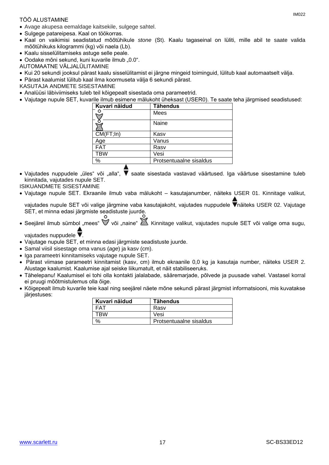#### TÖÖ ALUSTAMINE

- Avage akupesa eemaldage kaitsekile, sulgege sahtel.
- Sulgege patareipesa. Kaal on töökorras.
- Kaal on vaikimisi seadistatud mõõtühikule *stone* (St). Kaalu tagaseinal on lüliti, mille abil te saate valida mõõtühikuks kilogrammi (kg) või naela (Lb).
- Kaalu sisselülitamiseks astuge selle peale.
- Oodake mõni sekund, kuni kuvarile ilmub "0.0".
- AUTOMAATNE VÄLJALÜLITAMINE
- Kui 20 sekundi jooksul pärast kaalu sisselülitamist ei järgne mingeid toiminguid, lülitub kaal automaatselt välja.
- Pärast kaalumist lülitub kaal ilma koormuseta välja 6 sekundi pärast.
- KASUTAJA ANDMETE SISESTAMINE
- Analüüsi läbiviimiseks tuleb teil kõigepealt sisestada oma parameetrid.
- Vajutage nupule SET, kuvarile ilmub esimene mälukoht üheksast (USER0). Te saate teha järgmised seadistused:

| Mees<br>Naine<br>CM(FT;In)<br>Kasv<br>Vanus<br>Age<br><b>FAT</b><br>Rasv<br><b>TBW</b><br>Vesi<br>$\%$<br>Protsentuaalne sisaldus | Kuvari näidud | <b>Tähendus</b> |
|-----------------------------------------------------------------------------------------------------------------------------------|---------------|-----------------|
|                                                                                                                                   |               |                 |
|                                                                                                                                   |               |                 |
|                                                                                                                                   |               |                 |
|                                                                                                                                   |               |                 |
|                                                                                                                                   |               |                 |
|                                                                                                                                   |               |                 |
|                                                                                                                                   |               |                 |

- Vaiutades nuppudele "üles" või "alla". V saate sisestada vastavad väärtused. Iga väärtuse sisestamine tuleb kinnitada, vajutades nupule SET.
- ISIKUANDMETE SISESTAMINE
- Vajutage nupule SET. Ekraanile ilmub vaba mälukoht kasutajanumber, näiteks USER 01. Kinnitage valikut,

vajutades nupule SET või valige järgmine vaba kasutajakoht, vajutades nuppudele Vnäiteks USER 02. Vajutage SET, et minna edasi järgmiste seadistuste juurde.

• Seejärel ilmub sümbol "mees"  $\mathbb V$  või "naine"  $\mathbb Z$ . Kinnitage valikut, vajutades nupule SET või valige oma sugu,

vajutades nuppudele $\blacktriangledown$ .

- Vajutage nupule SET, et minna edasi järgmiste seadistuste juurde.
- Samal viisil sisestage oma vanus (*age*) ja kasv (cm).
- Iga parameetri kinnitamiseks vajutage nupule SET.
- Pärast viimase parameetri kinnitamist (kasv, cm) ilmub ekraanile 0,0 kg ja kasutaja number, näiteks USER 2. Alustage kaalumist. Kaalumise ajal seiske liikumatult, et näit stabiliseeruks.
- Tähelepanu! Kaalumisel ei tohi olla kontakti jalalabade, sääremarjade, põlvede ja puusade vahel. Vastasel korral ei pruugi mõõtmistulemus olla õige.
- Kõigepealt ilmub kuvarile teie kaal ning seejärel näete mõne sekundi pärast järgmist informatsiooni, mis kuvatakse järjestuses:

| Kuvari näidud | <b>Tähendus</b>         |
|---------------|-------------------------|
| FAT           | Rasv                    |
| TRW           | Vesi                    |
| $O_{\Lambda}$ | Protsentuaalne sisaldus |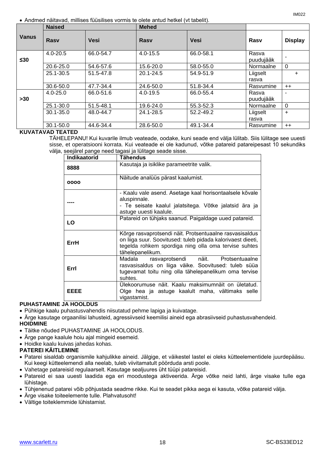Andmed näitavad, millises füüsilises vormis te olete antud hetkel (vt tabelit).

|              | <b>Naised</b> |             | <b>Mehed</b> |           |                    |                |  |
|--------------|---------------|-------------|--------------|-----------|--------------------|----------------|--|
| <b>Vanus</b> | Rasy          | <b>Vesi</b> | <b>Rasy</b>  | Vesi      | Rasy               | <b>Display</b> |  |
| ≤30          | $4.0 - 20.5$  | 66.0-54.7   | $4.0 - 15.5$ | 66.0-58.1 | Rasva<br>puudujääk |                |  |
|              | 20.6-25.0     | 54.6-57.6   | 15.6-20.0    | 58.0-55.0 | Normaalne          | $\Omega$       |  |
|              | 25.1-30.5     | 51.5-47.8   | 20.1-24.5    | 54.9-51.9 | Liigselt           | $+$            |  |
|              |               |             |              |           | rasva              |                |  |
|              | 30.6-50.0     | 47.7-34.4   | 24.6-50.0    | 51.8-34.4 | Rasvumine          | $^{++}$        |  |
| >30          | $4.0 - 25.0$  | 66.0-51.6   | $4.0 - 19.5$ | 66.0-55.4 | Rasva<br>puudujääk |                |  |
|              | 25.1-30.0     | 51.5-48.1   | 19.6-24.0    | 55.3-52.3 | Normaalne          | $\Omega$       |  |
|              | $30.1 - 35.0$ | 48.0-44.7   | 24.1-28.5    | 52.2-49.2 | Liigselt<br>rasva  | $+$            |  |
|              | 30.1-50.0     | 44.6-34.4   | 28.6-50.0    | 49.1-34.4 | Rasvumine          | $++$           |  |

#### **KUVATAVAD TEATED**

TÄHELEPANU! Kui kuvarile ilmub veateade, oodake, kuni seade end välja lülitab. Siis lülitage see uuesti sisse, et operatsiooni korrata. Kui veateade ei ole kadunud, võtke patareid patareipesast 10 sekundiks välja, seejärel pange need tagasi ja lülitage seade sisse.

| Indikaatorid | <b>Tähendus</b>                                                                                                                                                                                    |  |  |
|--------------|----------------------------------------------------------------------------------------------------------------------------------------------------------------------------------------------------|--|--|
| 8888         | Kasutaja ja isiklike parameetrite valik.                                                                                                                                                           |  |  |
| 0000         | Näitude analüüs pärast kaalumist.                                                                                                                                                                  |  |  |
|              | - Kaalu vale asend. Asetage kaal horisontaalsele kõvale<br>aluspinnale.<br>- Te seisate kaalul jalatsitega. Võtke jalatsid ära ja<br>astuge uuesti kaalule.                                        |  |  |
| LO.          | Patareid on tühjaks saanud. Paigaldage uued patareid.                                                                                                                                              |  |  |
| ErrH         | Kõrge rasvaprotsendi näit. Protsentuaalne rasvasisaldus<br>on liiga suur. Soovitused: tuleb pidada kalorivaest dieeti,<br>tegelda rohkem spordiga ning olla oma tervise suhtes<br>tähelepanelikum. |  |  |
| Errl         | Madala<br>rasvaprotsendi näit. Protsentuaalne<br>rasvasisaldus on liiga väike. Soovitused: tuleb süüa<br>tugevamat toitu ning olla tähelepanelikum oma tervise<br>suhtes.                          |  |  |
| EEEE         | Ulekoorumuse näit. Kaalu maksimumnäit on ületatud.<br>Olge hea ja astuge kaalult maha, vältimaks selle<br>vigastamist.                                                                             |  |  |

#### **PUHASTAMINE JA HOOLDUS**

- Pühkige kaalu puhastusvahendis niisutatud pehme lapiga ja kuivatage.
- Ärge kasutage orgaanilisi lahusteid, agressiivseid keemilisi aineid ega abrasiivseid puhastusvahendeid. **HOIDMINE**
- Täitke nõuded PUHASTAMINE JA HOOLODUS.
- Ärge pange kaalule hoiu ajal mingeid esemeid.
- Hoidke kaalu kuivas jahedas kohas.

### **PATEREI KÄITLEMINE**

- Patarei sisaldab organismile kahjulikke aineid. Jälgige, et väikestel lastel ei oleks kütteelementidele juurdepääsu. Kui keegi kütteelemendi alla neelab, tuleb viivitamatult pöörduda arsti poole.
- Vahetage patareisid regulaarselt. Kasutage sealjuures üht tüüpi patareisid.
- Patareid ei saa uuesti laadida ega eri moodustega aktiveerida. Ärge võtke neid lahti, ärge visake tulle ega lühistage.
- Tühjenenud patarei võib põhjustada seadme rikke. Kui te seadet pikka aega ei kasuta, võtke patareid välja.
- Ärge visake toiteelemente tulle. Plahvatusoht!
- Vältige toiteklemmide lühistamist.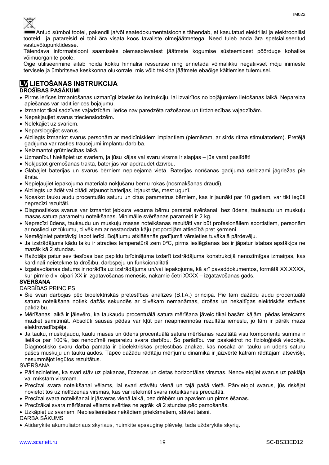Antud sümbol tootel, pakendil ja/või saatedokumentatsioonis tähendab, et kasutatud elektrilisi ja elektroonilisi tooteid ja patareisid ei tohi ära visata koos tavaliste olmejäätmetega. Need tuleb anda ära spetsialiseeritud vastuvõtupunktidesse.

Täiendava informatsiooni saamiseks olemasolevatest jäätmete kogumise süsteemidest pöörduge kohalike võimuorganite poole.

Õige utiliseerimine aitab hoida kokku hinnalisi ressursse ning ennetada võimalikku negatiivset mõju inimeste tervisele ja ümbritseva keskkonna olukorrale, mis võib tekkida jäätmete ebaõige käitlemise tulemusel.

# **LV LIETOŠANAS INSTRUKCIJA**

#### **DROŠĪBAS PASĀKUMI**

- Pirms ierīces izmantošanas uzmanīgi izlasiet šo instrukciju, lai izvairītos no bojājumiem lietošanas laikā. Nepareiza apiešanās var radīt ierīces bojājumu.
- Izmantot tikai sadzīves vajadzībām. Ierīce nav paredzēta ražošanas un tirdzniecības vajadzībām.
- Nepakļaujiet svarus triecienslodzēm.
- Nelēkājiet uz svariem.
- Nepārslogojiet svarus.
- Aizliegts izmantot svarus personām ar medicīniskiem implantiem (piemēram, ar sirds ritma stimulatoriem). Pretējā gadījumā var rasties traucējumi implantu darbībā.
- Neizmantot grūtniecības laikā.
- Uzmanību! Nekāpiet uz svariem, ja jūsu kājas vai svaru virsma ir slapjas jūs varat paslīdēt!
- Nokļūstot gremošanas traktā, baterijas var apdraudēt dzīvību.
- Glabājiet baterijas un svarus bērniem nepieejamā vietā. Baterijas norīšanas gadījumā steidzami jāgriežas pie ārsta.
- Nepieļaujiet iepakojuma materiāla nokļūšanu bērnu rokās (nosmakšanas draudi).
- Aizliegts uzlādēt vai citādi atjaunot baterijas, izjaukt tās, mest ugunī.
- Nosakot tauku audu procentuālo saturu un citus parametrus bērniem, kas ir jaunāki par 10 gadiem, var tikt iegūti neprecīzi rezultāti.
- Diagnostiskos svarus var izmantot jebkura vecuma bērnu parastai svēršanai, bez ūdens, taukaudu un muskuļu masas satura parametru noteikšanas. Minimālie svēršanas parametri ir 2 kg.
- Neprecīzi ūdens, taukaudu un muskuļu masas noteikšanas rezultāti var būt profesionāliem sportistiem, personām ar noslieci uz tūkumu, cilvēkiem ar nestandarta kāju proporcijām attiecībā pret ķermeni.
- Nemēģiniet patstāvīgi labot ierīci. Bojājumu atklāšanās gadījumā vērsieties tuvākajā pārdevēju.
- Ja izstrādājums kādu laiku ir atradies temperatūrā zem 0ºC, pirms ieslēgšanas tas ir jāpatur istabas apstākļos ne mazāk kā 2 stundas.
- Ražotājs patur sev tiesības bez papildu brīdinājuma izdarīt izstrādājuma konstrukcijā nenozīmīgas izmaiņas, kas kardināli neietekmē tā drošību, darbspēju un funkcionalitāti.
- Izgatavošanas datums ir norādīts uz izstrādājuma un/vai iepakojuma, kā arī pavaddokumentos, formātā XX.XXXX, kur pirmie divi cipari XX ir izgatavošanas mēnesis, nākamie četri XXXX – izgatavošanas gads.

#### **SVĒRŠANA**

#### DARBĪBAS PRINCIPS

- Šie svari darbojas pēc bioelektriskās pretestības analīzes (B.I.A.) principa. Pie tam dažādu audu procentuālā satura noteikšana notiek dažās sekundēs ar cilvēkam nemanāmas, drošas un nekaitīgas elektriskās strāvas palīdzību.
- Mērīšanas laikā ir jāievēro, ka taukaudu procentuālā satura mērīšana jāveic tikai basām kājām; pēdas ieteicams mazliet samitrināt. Absolūti sausas pēdas var kļūt par neapmierinoša rezultāta iemeslu, jo tām ir pārāk maza elektrovadītspēja.
- Ja tauku, muskuļaudu, kaulu masas un ūdens procentuālā satura mērīšanas rezultātā visu komponentu summa ir lielāka par 100%, tas nenozīmē nepareizu svara darbību. Šo parādību var paskaidrot no fizioloģiskā viedokļa. Diagnostisko svaru darba pamatā ir bioelektriskās pretestības analīze, kas nosaka arī tauku un ūdens saturu pašos muskuļu un tauku audos. Tāpēc dažādu rādītāju mērījumu dinamika ir jāizvērtē katram rādītājam atsevišķi, nesummējot iegūtos rezultātus.

#### SVĒRŠANA

- Pārliecinieties, ka svari stāv uz plakanas, līdzenas un cietas horizontālas virsmas. Nenovietojiet svarus uz paklāja vai mīkstām virsmām.
- Precīzai svara noteikšanai vēlams, lai svari stāvētu vienā un tajā pašā vietā. Pārvietojot svarus, jūs riskējat novietot tos uz nelīdzenas virsmas, kas var ietekmēt svara noteikšanas precizitāti.
- Precīzai svara noteikšanai ir jāsveras vienā laikā, bez drēbēm un apaviem un pirms ēšanas.
- Precīzākai svara mērīšanai vēlams svērties ne agrāk kā 2 stundas pēc pamošanās.
- Uzkāpiet uz svariem. Nepieslienieties nekādiem priekšmetiem, stāviet taisni.

#### DARBA SĀKUMS

Atidarykite akumuliatoriaus skyriaus, nuimkite apsauginę plėvelę, tada uždarykite skyrių.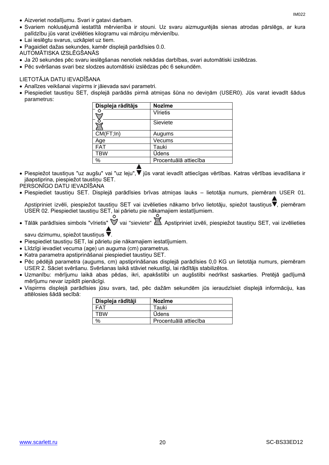- Aizveriet nodalījumu. Svari ir gatavi darbam.
- Svariem noklusējumā iestatītā mērvienība ir stouni. Uz svaru aizmugurējās sienas atrodas pārslēgs, ar kura palīdzību jūs varat izvēlēties kilogramu vai mārciņu mērvienību.
- Lai ieslēgtu svarus, uzkāpiet uz tiem.
- Pagaidiet dažas sekundes, kamēr displejā parādīsies 0.0.

AUTOMĀTISKA IZSLĒGŠANĀS

- Ja 20 sekundes pēc svaru ieslēgšanas nenotiek nekādas darbības, svari automātiski izslēdzas.
- Pēc svēršanas svari bez slodzes automātiski izslēdzas pēc 6 sekundēm.

### LIETOTĀJA DATU IEVADĪŠANA

- Analīzes veikšanai vispirms ir jāievada savi parametri.
- Piespiediet taustiņu SET, displejā parādās pirmā atmiņas šūna no deviņām (USER0). Jūs varat ievadīt šādus parametrus:

| Displeja rādītājs | <b>Nozīme</b>         |
|-------------------|-----------------------|
|                   | <b>V</b> īrietis      |
|                   | Sieviete              |
| CM(FT;In)         | Augums                |
| Age               | Vecums                |
| <b>FAT</b>        | Tauki                 |
| <b>TBW</b>        | <b>Ūdens</b>          |
| $\%$              | Procentuālā attiecība |
|                   |                       |

- Piespiežot taustiņus "uz augšu" vai "uz leju", Viūs varat ievadīt attiecīgas vērtības. Katras vērtības ievadīšana ir jāapstiprina, piespiežot taustiņu SET.
- PERSONĪGO DATU IEVADĪŠANA
- Piespiediet taustiņu SET. Displejā parādīsies brīvas atmiņas lauks lietotāja numurs, piemēram USER 01.

Apstipriniet izvēli, piespiežot taustiņu SET vai izvēlieties nākamo brīvo lietotāju, spiežot taustiņus . piemēram USER 02. Piespiediet taustiņu SET, lai pārietu pie nākamajiem iestatījumiem.

• Tālāk parādīsies simbols "vīrietis"  $\check{\mathbb{V}}$  vai "sieviete"  $\mathbb{Z}$ . Apstipriniet izvēli, piespiežot taustiņu SET, vai izvēlieties

savu dzimumu, spiežot taustiņus  $\blacktriangledown$ .

- Piespiediet taustiņu SET, lai pārietu pie nākamajiem iestatījumiem.
- Līdzīgi ievadiet vecuma (age) un auguma (cm) parametrus.
- Katra parametra apstiprināšanai piespiediet taustiņu SET.
- Pēc pēdējā parametra (augums, cm) apstiprināšanas displejā parādīsies 0,0 KG un lietotāja numurs, piemēram USER 2. Sāciet svēršanu. Svēršanas laikā stāviet nekustīgi, lai rādītājs stabilizētos.
- Uzmanību: mērījumu laikā abas pēdas, ikri, apakšstilbi un augšstilbi nedrīkst saskarties. Pretējā gadījumā mērījumu nevar izpildīt pienācīgi.
- Vispirms displejā parādīsies jūsu svars, tad, pēc dažām sekundēm jūs ieraudzīsiet displejā informāciju, kas attēlosies šādā secībā:

| Displeja rādītāji | Nozīme                |
|-------------------|-----------------------|
| -AT               | Tauki                 |
| TRW               | <b>Udens</b>          |
| $\frac{1}{2}$     | Procentuālā attiecība |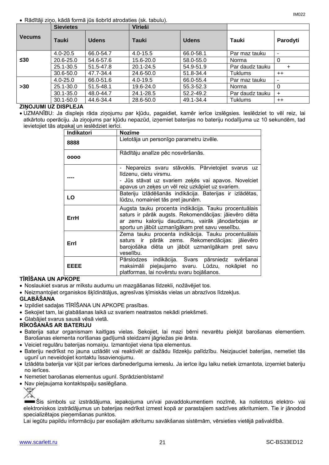Rādītāji ziņo, kādā formā jūs šobrīd atrodaties (sk. tabulu).

|               | <b>Sievietes</b> |              | Vīrieši      |              |                 |          |
|---------------|------------------|--------------|--------------|--------------|-----------------|----------|
| <b>Vecums</b> | Tauki            | <b>Udens</b> | <b>Tauki</b> | <b>Udens</b> | Tauki           | Parodyti |
|               | $4.0 - 20.5$     | 66.0-54.7    | $4.0 - 15.5$ | 66.0-58.1    | Par maz tauku   | ۰        |
| $\leq 30$     | 20.6-25.0        | 54.6-57.6    | 15.6-20.0    | 58.0-55.0    | Norma           | 0        |
|               | 25.1-30.5        | 51.5-47.8    | 20.1-24.5    | 54.9-51.9    | Par daudz tauku | ٠        |
|               | 30.6-50.0        | 47.7-34.4    | 24.6-50.0    | 51.8-34.4    | Tuklums         | $++$     |
|               | $4.0 - 25.0$     | 66.0-51.6    | $4.0 - 19.5$ | 66.0-55.4    | Par maz tauku   | ٠        |
| >30           | $25.1 - 30.0$    | 51.5-48.1    | 19.6-24.0    | 55.3-52.3    | Norma           | 0        |
|               | $30.1 - 35.0$    | 48.0-44.7    | 24.1-28.5    | 52.2-49.2    | Par daudz tauku | $\pm$    |
|               | $30.1 - 50.0$    | 44.6-34.4    | 28.6-50.0    | 49.1-34.4    | Tuklums         | $++$     |

#### **ZIŅOJUMI UZ DISPLEJA**

 UZMANĪBU: Ja displejs rāda ziņojumu par kļūdu, pagaidiet, kamēr ierīce izslēgsies. Ieslēdziet to vēl reiz, lai atkārtotu operāciju. Ja ziņojums par kļūdu nepazūd, izņemiet baterijas no bateriju nodalījuma uz 10 sekundēm, tad ievietojiet tās atpakaļ un ieslēdziet ierīci.

| Indikatori  | <b>Nozīme</b>                                                                                                                                                                                                           |
|-------------|-------------------------------------------------------------------------------------------------------------------------------------------------------------------------------------------------------------------------|
| 8888        | Lietotāja un personīgo parametru izvēle.                                                                                                                                                                                |
| 0000        | Rādītāju analīze pēc nosvēršanās.                                                                                                                                                                                       |
|             | - Nepareizs svaru stāvoklis. Pārvietojiet svarus uz<br>līdzenu, cietu virsmu.<br>- Jūs stāvat uz svariem zeķēs vai apavos. Novelciet<br>apavus un zeķes un vēl reiz uzkāpiet uz svariem.                                |
| LO          | Bateriju izlādēšanās indikācija. Baterijas ir izlādētas,<br>lūdzu, nomainiet tās pret jaunām.                                                                                                                           |
| ErrH        | Augsta tauku procenta indikācija. Tauku procentuālais<br>saturs ir pārāk augsts. Rekomendācijas: jāievēro diēta<br>ar zemu kaloriju daudzumu, vairāk jānodarbojas ar<br>sportu un jābūt uzmanīgākam pret savu veselību. |
| Errl        | Zema tauku procenta indikācija. Tauku procentuālais<br>saturs ir pārāk zems. Rekomendācijas: jāievēro<br>barojošāka diēta un jābūt uzmanīgākam pret savu<br>veselību.                                                   |
| <b>EEEE</b> | Pārslodzes indikācija. Svars pārsniedz svēršanai<br>maksimāli pieļaujamo svaru. Lūdzu, nokāpiet no<br>platformas, lai novērstu svaru bojāšanos.                                                                         |

#### **TĪRĪŠANA UN APKOPE**

- Noslaukiet svarus ar mīkstu audumu un mazgāšanas līdzekli, nožāvējiet tos.
- Neizmantojiet organiskos šķīdinātājus, agresīvas ķīmiskās vielas un abrazīvos līdzekļus.

#### **GLABĀŠANA**

- Izpildiet sadaļas TĪRĪŠANA UN APKOPE prasības.
- Sekojiet tam, lai glabāšanas laikā uz svariem neatrastos nekādi priekšmeti.
- Glabājiet svarus sausā vēsā vietā.

#### **RĪKOŠANĀS AR BATERIJU**

- Baterija satur organismam kaitīgas vielas. Sekojiet, lai mazi bērni nevarētu piekļūt barošanas elementiem. Barošanas elementa norīšanas gadījumā steidzami jāgriežas pie ārsta.
- Veiciet regulāru baterijas nomaiņu. Izmantojiet viena tipa elementus.
- Bateriju nedrīkst no jauna uzlādēt vai reaktivēt ar dažādu līdzekļu palīdzību. Neizjauciet baterijas, nemetiet tās ugunī un neveidojiet kontaktu īssavienojumu.
- Izlādēta baterija var kļūt par ierīces darbnederīguma iemeslu. Ja ierīce ilgu laiku netiek izmantota, izņemiet bateriju no ierīces.
- Nemetiet barošanas elementus ugunī. Sprādzienbīstami!
- Nav pieļaujama kontaktspaiļu saslēgšana.

Šis simbols uz izstrādājuma, iepakojuma un/vai pavaddokumentiem nozīmē, ka nolietotus elektro- vai elektroniskos izstrādājumus un baterijas nedrīkst izmest kopā ar parastajiem sadzīves atkritumiem. Tie ir jānodod specializētajos pieņemšanas punktos.

Lai iegūtu papildu informāciju par esošajām atkritumu savākšanas sistēmām, vērsieties vietējā pašvaldībā.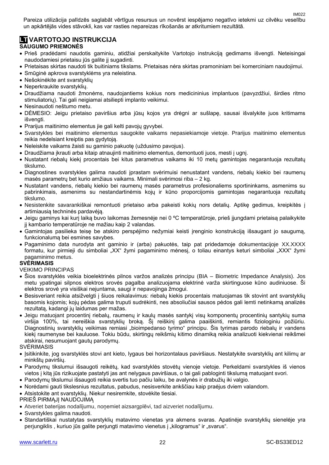Pareiza utilizācija palīdzēs saglabāt vērtīgus resursus un novērst iespējamo negatīvo ietekmi uz cilvēku veselību un apkārtējās vides stāvokli, kas var rasties nepareizas rīkošanās ar atkritumiem rezultātā.

# **LT VARTOTOJO INSTRUKCIJA**

#### **SAUGUMO PRIEMONĖS**

- Prieš pradėdami naudotis gaminiu, atidžiai perskaitykite Vartotojo instrukciją gedimams išvengti. Neteisingai naudodamiesi prietaisu jūs galite jį sugadinti.
- Prietaisas skirtas naudoti tik buitiniams tikslams. Prietaisas nėra skirtas pramoniniam bei komerciniam naudojimui.
- Smūginė apkrova svarstyklėms yra neleistina.
- Nešokinėkite ant svarstyklių
- Neperkraukite svarstyklių.
- Draudžiama naudoti žmonėms, naudojantiems kokius nors medicininius implantuos (pavyzdžiui, širdies ritmo stimuliatorių). Tai gali neigiamai atsiliepti implanto veikimui.
- Nesinaudoti neštumo metu.
- DĖMESIO: Jeigu prietaiso paviršius arba jūsų kojos yra drėgni ar sušlapę, sausai išvalykite juos kritimams išvenati.
- Prarijus maitinimo elementus jie gali kelti pavojų gyvybei.
- Svarstykles bei maitinimo elementus saugokite vaikams nepasiekiamoje vietoje. Prarijus maitinimo elementus reikia nedelsiant kreiptis pas gydytoją.
- Neleiskite vaikams žaisti su gaminio pakuotę (uždusimo pavojus).
- Draudžiama įkrauti arba kitaip atnaujinti maitinimo elementus, demontuoti juos, mesti į ugnį.
- Nustatant riebalų kiekį procentais bei kitus parametrus vaikams iki 10 metų gamintojas negarantuoja rezultatų tikslumo.
- Diagnostines svarstykles galima naudoti iprastam svėrimuisi nenustatant vandens, riebalų kiekio bei raumenų masės parametrų bet kurio amžiaus vaikams. Minimali svėrimosi riba – 2 kg.
- Nustatant vandens, riebalų kiekio bei raumenų masės parametrus profesionaliems sportininkams, asmenims su pabrinkimais, asmenims su nestandartinėmis kojų ir kūno proporcijomis gamintojas negarantuoja rezultatų tikslumo.
- Nesistenkite savarankiškai remontuoti prietaiso arba pakeisti kokių nors detalių. Aptikę gedimus, kreipkitės į artimiausią techninės pardavėją.
- Jeigu gaminys kai kurį laiką buvo laikomas žemesnėje nei 0 ºC temperatūroje, prieš įjungdami prietaisą palaikykite jį kambario temperatūroje ne mažiau kaip 2 valandas.
- Gamintojas pasilieka teisę be atskiro perspėjimo nežymiai keisti įrenginio konstrukciją išsaugant jo saugumą, funkcionalumą bei esmines savybes.
- Pagaminimo data nurodyta ant gaminio ir (arba) pakuotės, taip pat pridedamoje dokumentacijoje XX.XXXX formatu, kur pirmieji du simboliai "XX" žymi pagaminimo mėnesį, o toliau einantys keturi simboliai "XXX" žymi pagaminimo metus.

#### **SVĖRIMASIS**

#### VEIKIMO PRINCIPAS

- Šios svarstyklės veikia bioelektrinės pilnos varžos analizės principu (BIA Biometric Impedance Analysis). Jos metu ypatingai silpnos elektros srovės pagalba analizuojama elektrinė varža skirtinguose kūno audiniuose. Ši elektros srovė yra visiškai nejuntama, saugi ir nepavojinga žmogui.
- Besisveriant reikia atsižvelgti į šiuos reikalavimus: riebalų kiekis procentais matuojamas tik stovint ant svarstyklių basomis kojomis; kojų pėdas galima truputi sudrėkinti, nes absoliučiai sausos pėdos gali lemti netinkamą analizės rezultatą, kadangi jų laidumas per mažas.
- Jeigu matuojant procentinį riebalų, raumenų ir kaulų masės santykį visų komponentų procentinių santykių suma viršija 100%, tai nereiškia svarstyklių broką. Šį reiškinį galima paaiškinti, remiantis fiziologiniu požiūriu. Diagnostinių svarstyklių veikimas remiasi "bioimpedanso tyrimo" principu. Šis tyrimas parodo riebalų ir vandens kiekį raumenyse bei kauluose. Tokiu būdu, skirtingų reikšmių kitimo dinamiką reikia analizuoti kiekvienai reikšmei atskirai, nesumuojant gautų parodymų.

SVĖRIMASIS

- Isitikinkite, jog svarstyklės stovi ant kieto, lygaus bei horizontalaus paviršiaus. Nestatykite svarstyklių ant kilimų ar minkštų paviršių.
- Parodymų tikslumui išsaugoti reikėtų, kad svarstyklės stovėtų vienoje vietoje. Perkeldami svarstykles iš vienos vietos į kitą jūs rizikuojate pastatyti jas ant nelygaus paviršiaus, o tai gali pabloginti tikslumą matuojant svori.
- Parodymų tikslumui išsaugoti reikia svertis tuo pačiu laiku, be avalynės ir drabužių iki valgio.
- Norėdami gauti tikslesnius rezultatus, pabudus, nesisverkite ankščiau kaip praėjus dviem valandom.
- Atsistokite ant svarstyklių. Niekur nesiremkite, stovėkite tiesiai.

#### PRIEŠ PIRMĄJĮ NAUDOJIMĄ

- Atveriet baterijas nodalījumu, noņemiet aizsargplēvi, tad aizveriet nodalījumu.
- Svarstykles galima naudoti.
- Standartiškai nustatytas svarstyklių matavimo vienetas yra akmens svaras. Apatinėje svarstyklių sienelėje yra perjungiklis, kuriuo jūs galite perjungti matavimo vienetus į "kilogramus" ir "svarus".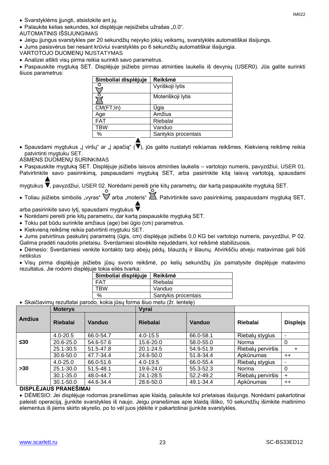Svarstyklėms įjungti, atsistokite ant jų.

· Palaukite kelias sekundes, kol displėjuje neįsižiebs užrašas "0.0".

AUTOMATINIS IŠSIJUNGIMAS

Jeigu įjungus svarstykles per 20 sekundžių neįvyko jokių veiksmų, svarstyklės automatiškai išsijungs.

Jums pasisvėrus bei nesant krūviui svarstyklės po 6 sekundžių automatiškai išsijungia.

VARTOTOJO DUOMENŲ NUSTATYMAS

Analizei atlikti visų pirma reikia surinkti savo parametrus.

 Paspauskite mygtuką SET. Displėjuje įsižiebs pirmas atminties laukelis iš devynių (USER0). Jūs galite surinkti šiuos parametrus:

| Simboliai displėjuje | Reikšmė             |
|----------------------|---------------------|
|                      | Vyriškoji lytis     |
|                      | Moteriškoji lytis   |
| CM(FT;In)            | Ūgis                |
| Age                  | Amžius              |
| <b>FAT</b>           | Riebalai            |
| <b>TBW</b>           | Vanduo              |
| $\%$                 | Santykis procentais |
|                      |                     |

• Spausdami mygtukus "į viršų" ar "į apačią" ( $\blacktriangledown$ ), jūs galite nustatyti reikiamas reikšmes. Kiekvieną reikšmę reikia patvirtinti mygtuku SET.

ASMENS DUOMENŲ SURINKIMAS

Paspauskite mygtuką SET. Displėjuje įsižiebs laisvos atminties laukelis – vartotojo numeris, pavyzdžiui, USER 01.

Patvirtinkite savo pasirinkimą, paspausdami mygtuką SET, arba pasirinkite kitą laisvą vartotoją, spausdami

mygtukus  $\blacktriangledown$ , pavyzdžiui, USER 02. Norėdami pereiti prie kitų parametrų, dar kartą paspauskite mygtuką SET.

• Toliau įsižiebs simbolis "vyras"  $\mathbb W$  arba "moteris"  $\mathbb Z$ . Patvirtinkite savo pasirinkimą, paspausdami mygtuką SET,

arba pasirinkite savo lytį, spausdami mygtukus  $\blacktriangledown$ .

- Norėdami pereiti prie kitų parametru, dar kartą paspauskite mygtuką SET.
- Tokiu pat būdu surinkite amžiaus (age) bei ūgio (cm) parametrus.
- Kiekvieną reikšmę reikia patvirtinti mygtuku SET.

 Jums patvirtinus paskutinį parametrą (ūgis, cm) displėjuje įsižiebs 0,0 KG bei vartotojo numeris, pavyzdžiui, P 02. Galima pradėti naudotis prietaisu. Sverdamiesi stovėkite nejudėdami, kol reikšmė stabilizuosis.

 Dėmesio: Sverdamiesi venkite kontakto tarp abejų pėdų, blauzdų ir šlaunų. Atvirkščiu atveju matavimas gali būti netikslus

 Visų pirma displėjuje įsižiebs jūsų svorio reikšmė, po kelių sekundžių jūs pamatysite displėjuje matavimo rezultatus. Jie rodomi displėjuje tokia eilės tvarka:

| Simboliai displėjuje                                  | Reikšmė             |
|-------------------------------------------------------|---------------------|
| FAT                                                   | Riebalai            |
| TRW                                                   | Vanduo              |
| %                                                     | Santykis procentais |
| . Jan Jacobson (Alexandre Miller and Lan /Marchaelek) |                     |

Skaičiavimų rezultatai parodo, kokia jūsų forma šiuo metu (žr. lentelę)

|               | <b>Moterys</b>  |           | Vyrai           |           |                   |                 |
|---------------|-----------------|-----------|-----------------|-----------|-------------------|-----------------|
| <b>Amžius</b> | <b>Riebalai</b> | Vanduo    | <b>Riebalai</b> | Vanduo    | Riebalai          | <b>Displejs</b> |
|               | $4.0 - 20.5$    | 66.0-54.7 | $4.0 - 15.5$    | 66.0-58.1 | Riebaly stygius   |                 |
| $\leq 30$     | 20.6-25.0       | 54.6-57.6 | 15.6-20.0       | 58.0-55.0 | Norma             | 0               |
|               | 25.1-30.5       | 51.5-47.8 | 20.1-24.5       | 54.9-51.9 | Riebalų perviršis | +               |
|               | 30.6-50.0       | 47.7-34.4 | 24.6-50.0       | 51.8-34.4 | Apkūnumas         | $++$            |
|               | $4.0 - 25.0$    | 66.0-51.6 | $4.0 - 19.5$    | 66.0-55.4 | Riebaly stygius   |                 |
| >30           | $25.1 - 30.0$   | 51.5-48.1 | 19.6-24.0       | 55.3-52.3 | Norma             | 0               |
|               | $30.1 - 35.0$   | 48.0-44.7 | 24.1-28.5       | 52.2-49.2 | Riebalų perviršis | $\pm$           |
|               | $30.1 - 50.0$   | 44.6-34.4 | 28.6-50.0       | 49.1-34.4 | Apkūnumas         | $++$            |

#### **DISPLĖJAUS PRANEŠIMAI**

 DĖMESIO: Jei displėjuje rodomas pranešimas apie klaidą, palaukite kol prietaisas išsijungs. Norėdami pakartotinai paleisti operaciją, įjunkite svarstykles iš naujo. Jeigu pranešimas apie klaidą išliko, 10 sekundžių išimkite maitinimo elementus iš jiems skirto skyrelio, po to vėl juos įdėkite ir pakartotinai įjunkite svarstykles.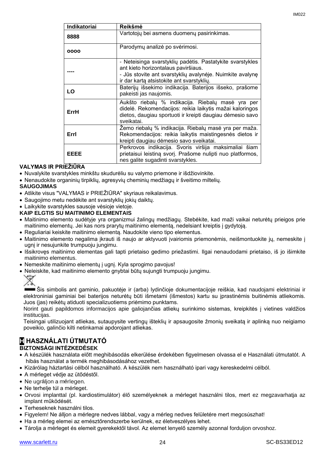| <b>Indikatoriai</b> | Reikšmė                                                                                                                                                                                                    |
|---------------------|------------------------------------------------------------------------------------------------------------------------------------------------------------------------------------------------------------|
| 8888                | Vartotojų bei asmens duomenų pasirinkimas.                                                                                                                                                                 |
| 0000                | Parodymų analizė po svėrimosi.                                                                                                                                                                             |
|                     | - Neteisinga svarstyklių padėtis. Pastatykite svarstykles<br>ant kieto horizontalaus paviršiaus.<br>- Jūs stovite ant svarstyklių avalynėje. Nuimkite avalynę<br>ir dar kartą atsistokite ant svarstyklių. |
| LO                  | Baterijų išsekimo indikacija. Baterijos išseko, prašome<br>pakeisti jas naujomis.                                                                                                                          |
| ErrH                | Aukšto riebalų % indikacija. Riebalų masė yra per<br>didelė. Rekomendacijos: reikia laikytis mažai kaloringos<br>dietos, daugiau sportuoti ir kreipti daugiau dėmesio savo<br>sveikatai.                   |
| Errl                | Žemo riebalų % indikacija. Riebalų masė yra per maža.<br>Rekomendacijos: reikia laikytis maistingesnės dietos ir<br>kreipti daugiau dėmesio savo sveikatai.                                                |
| EEEE                | Perkrovos indikacija. Svoris viršija maksimaliai šiam<br>prietaisui leistiną svorį. Prašome nulipti nuo platformos,<br>nes galite sugadinti svarstykles.                                                   |

#### **VALYMAS IR PRIEŽIŪRA**

- Nuvalykite svarstykles minkštu skudurėliu su valymo priemone ir išdžiovinkite.
- Nenaudokite organinių tirpiklių, agresyvių cheminių medžiagų ir šveitimo miltelių.

#### **SAUGOJIMAS**

- Atlikite visus "VALYMAS ir PRIEŽIŪRA" skyriaus reikalavimus.
- Saugojimo metu nedėkite ant svarstyklių jokių daiktų.
- Laikykite svarstykles sausoje vėsioje vietoje.

#### **KAIP ELGTIS SU MAITINIMO ELEMENTAIS**

- Maitinimo elemento sudėtyje yra organizmui žalingų medžiagų. Stebėkite, kad maži vaikai neturėtų prieigos prie maitinimo elementų. Jei kas nors prarytų maitinimo elementą, nedelsiant kreiptis į gydytoją.
- Reguliariai keiskite maitinimo elementą. Naudokite vieno tipo elementus.
- Maitinimo elemento negalima įkrauti iš naujo ar aktyvuoti įvairiomis priemonėmis, neišmontuokite jų, nemeskite į ugnį ir nesujunkite trumpuoju jungimu.
- Išsikrovęs maitinimo elementas gali tapti prietaiso gedimo priežastimi. Ilgai nenaudodami prietaiso, iš jo išimkite maitinimo elementus.
- Nemeskite maitinimo elementų į ugnį. Kyla sprogimo pavojus!
- Neleiskite, kad maitinimo elemento gnybtai būtų sujungti trumpuoju jungimu.



Šis simbolis ant gaminio, pakuotėje ir (arba) lydinčioje dokumentacijoje reiškia, kad naudojami elektriniai ir elektroniniai gaminiai bei baterijos neturėtų būti išmetami (išmestos) kartu su įprastinėmis buitinėmis atliekomis. Juos (jas) reikėtų atiduoti specializuotiems priėmimo punktams.

Norint gauti papildomos informacijos apie galiojančias atliekų surinkimo sistemas, kreipkitės į vietines valdžios institucijas.

Teisingai utilizuojant atliekas, sutaupysite vertingų išteklių ir apsaugosite žmonių sveikatą ir aplinką nuo neigiamo poveikio, galinčio kilti netinkamai apdorojant atliekas.

#### **H HASZNÁLATI ÚTMUTATÓ BIZTONSÁGI INTÉZKEDÉSEK**

- A készülék használata előtt meghibásodás elkerülése érdekében figyelmesen olvassa el e Használati útmutatót. A
	- hibás használat a termék meghibásodásához vezethet.
- Kizárólag háztartási célból használható. A készülék nem használható ipari vagy kereskedelmi célból.
- A mérleget védje az ütődéstől.
- Ne ugráljon a mérlegen.
- Ne terhelje túl a mérleget.
- Orvosi implanttal (pl. kardiostimulátor) élő személyeknek a mérleget használni tilos, mert ez megzavarhatja az implant működését.
- Terheseknek használni tilos.
- Figyelem! Ne álljon a mérlegre nedves lábbal, vagy a mérleg nedves felületére mert megcsúszhat!
- Ha a mérleg elemei az emésztőrendszerbe kerülnek, ez életveszélyes lehet.
- Tárolja a mérleget és elemeit gyerekektől távol. Az elemet lenyelő személy azonnal forduljon orvoshoz.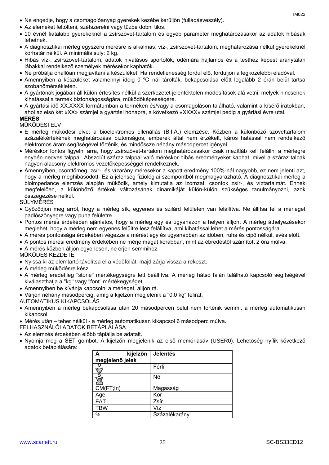- Ne engedje, hogy a csomagolóanyag gyerekek kezébe kerüljön (fulladásveszély).
- Az elemeket feltölteni, szétszerelni vagy tűzbe dobni tilos.
- 10 évnél fiatalabb gyerekeknél a zsírszövet-tartalom és egyéb paraméter meghatározásakor az adatok hibásak lehetnek.
- A diagnosztikai mérleg egyszerű mérésre is alkalmas, víz-, zsírszövet-tartalom, meghatározása nélkül gyerekeknél korhatár nélkül. A minimális súly: 2 kg.
- Hibás víz-, zsírszövet-tartalom, adatok hivatásos sportolók, ödémára hajlamos és a testhez képest aránytalan lábakkal rendelkező személyek mérésekor kaphatók.
- Ne próbálja önállóan megjavítani a készüléket. Ha rendellenesség fordul elő, forduljon a legközelebbi eladóval.
- Amennyiben a készüléket valamennyi ideig 0 ºC–nál tárolták, bekapcsolása előtt legalább 2 órán belül tartsa szobahőmérsékleten.
- A gyártónak jogában áll külön értesítés nélkül a szerkezetet jelentéktelen módosítások alá vetni, melyek nincsenek kihatással a termék biztonságosságára, működőképességére.
- A gyártási idő XX.XXXX formátumban a terméken és/vagy a csomagoláson található, valamint a kísérő iratokban, ahol az első két «XX» számjel a gyártási hónapra, a következő «XXXX» számjel pedig a gyártási évre utal. **MÉRÉS**

MŰKÖDÉSI ELV

- E mérleg működési elve: a bioelektromos ellenállás (B.I.A.) elemzése. Közben a különböző szövettartalom százalékértékének meghatározása biztonságos, emberek által nem érzékelt, káros hatással nem rendelkező elektromos áram segítségével történik, és mindössze néhány másodpercet igényel.
- Méréskor fontos figyelni arra, hogy zsírszövet-tartalom meghatározásakor csak mezítláb kell felállni a mérlegre enyhén nedves talppal. Abszolút száraz talppal való méréskor hibás eredményeket kaphat, mivel a száraz talpak nagyon alacsony elektromos vezetőképességgel rendelkeznek.
- Amennyiben, csonttömeg, zsír-, és vízarány mérésekor a kapott eredmény 100%-nál nagyobb, ez nem jelenti azt, hogy a mérleg meghibásodott. Ez a jelenség fiziológiai szempontból megmagyarázható. A diagnosztikai mérleg a bioimpedance elemzés alapján működik, amely kimutatja az izomzat, csontok zsír-, és víztartalmát. Ennek megfelelően, a különböző értékek változásának dinamikáját külön-külön szükséges tanulmányozni, azok összegezése nélkül.

SÚLYMÉRÉS

- Győződjön meg arról, hogy a mérleg sík, egyenes és szilárd felületen van felállítva. Ne állítsa fel a mérleget padlószőnyegre vagy puha felületre.
- Pontos mérés érdekében ajánlatos, hogy a mérleg egy és ugyanazon a helyen álljon. A mérleg áthelyezésekor meglehet, hogy a mérleg nem egyenes felültre lesz felállítva, ami kihatással lehet a mérés pontosságára.
- A mérés pontossága érdekében végezze a mérést egy és ugyanabban az időben, ruha és cipő nélkül, evés előtt.
- A pontos mérési eredmény érdekében ne mérje magát korábban, mint az ébredéstől számított 2 óra múlva.
- A mérés közben álljon egyenesen, ne érjen semmihez.

MŰKÖDÉS KEZDETE

- Nyissa ki az elemtartó távolítsa el a védőfóliát, majd zárja vissza a rekeszt.
- A mérleg működésre kész.
- A mérleg eredetileg "stone" mértékegységre lett beállítva. A mérleg hátsó falán található kapcsoló segítségével kiválaszthatja a "kg" vagy "font" mértékegységet.
- Amennyiben be kívánja kapcsolni a mérleget, álljon rá.
- Várjon néhány másodpercig, amíg a kijelzőn megjelenik a "0.0 kg" felirat.

AUTOMATIKUS KIKAPCSOLÁS

- Amennyiben a mérleg bekapcsolása után 20 másodpercen belül nem történik semmi, a mérleg automatikusan kikapcsol.
- Mérés után teher nélkül a mérleg automatikusan kikapcsol 6 másodperc múlva.
- FELHASZNÁLÓI ADATOK BETÁPLÁLÁSA
- Az elemzés érdekében előbb táplálja be adatait.
- Nyomja meg a SET gombot. A kijelzőn megjelenik az első memóriasáv (USER0). Lehetőség nyílik következő adatok betáplálására:

| kijelzőn<br>A   | <b>Jelentés</b> |
|-----------------|-----------------|
| megjelenő jelek |                 |
| O               | Férfi           |
|                 | Nő              |
| CM(FT;In)       | Magasság        |
| Age             | Kor             |
| <b>FAT</b>      | Zsír            |
| <b>TBW</b>      | Víz             |
| $\%$            | Százalékarány   |

IM022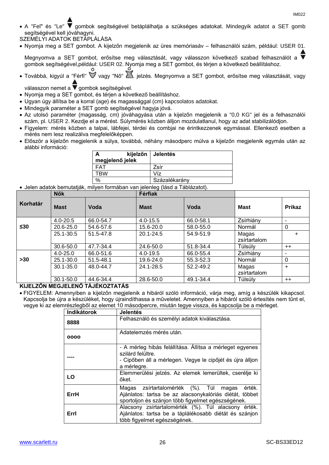- A "Fel" és "Le" gombok segítségével betáplálhatja a szükséges adatokat. Mindegyik adatot a SET gomb segítségével kell jóváhagyni.
- SZEMÉLYI ADATOK BETÁPLÁLÁSA
- Nyomja meg a SET gombot. A kijelzőn megjelenik az üres memóriasáv felhasználói szám, például: USER 01.

Megnyomva a SET gombot, erősítse meg választását, vagy válasszon következő szabad felhasználót a gombok segítségével,például: USER 02. Nyomja meg a SET gombot, és térjen a következő beállításhoz.

• Továbbá, kigyúl a "Férfi"  $\check{\mathbb{V}}$  vagy "Nő"  $\check{\mathbb{Z}}$ . jelzés. Megnyomva a SET gombot, erősítse meg választását, vagy

válasszon nemet a  $\overline{\mathbf{v}}$  gombok segítségével.

- Nyomja meg a SET gombot, és térjen a következő beállításhoz.
- Ugyan úgy állítsa be a korral (age) és magassággal (cm) kapcsolatos adatokat.
- Mindegyik paraméter a SET gomb segítségével hagyja jóvá.
- Az utolsó paraméter (magasság, cm) jóváhagyása után a kijelzőn megjelenik a "0,0 KG" jel és a felhasználói szám, pl. USER 2. Kezdje el a mérést. Súlymérés közben álljon mozdulatlanul, hogy az adat stabilizálódjon.
- Figyelem: mérés közben a talpai, lábfejei, térdei és combjai ne érintkezzenek egymással. Ellenkező esetben a mérés nem lesz realizálva megfelelőképpen.
- Először a kijelzőn megjelenik a súlya, továbbá, néhány másodperc múlva a kijelzőn megjelenik egymás után az alábbi információ:

| megjelenő jelek | kijelzőn   Jelentés |
|-----------------|---------------------|
| FAT             | Zsír                |
| <b>TRW</b>      | Víz                 |
| %               | Százalékarány       |

Jelen adatok bemutatják, milyen formában van jelenleg (lásd a Táblázatot).

|           | <b>Nők</b>    |           | Férfiak       |           |              |               |
|-----------|---------------|-----------|---------------|-----------|--------------|---------------|
| Korhatár  | <b>Mast</b>   | Voda      | <b>Mast</b>   | Voda      | <b>Mast</b>  | <b>Prikaz</b> |
|           | $4.0 - 20.5$  | 66.0-54.7 | $4.0 - 15.5$  | 66.0-58.1 | Zsírhiány    | -             |
| $\leq 30$ | 20.6-25.0     | 54.6-57.6 | 15.6-20.0     | 58.0-55.0 | Normál       | 0             |
|           | 25.1-30.5     | 51.5-47.8 | $20.1 - 24.5$ | 54.9-51.9 | Magas        | $\ddot{}$     |
|           |               |           |               |           | zsírtartalom |               |
|           | 30.6-50.0     | 47.7-34.4 | 24.6-50.0     | 51.8-34.4 | Túlsúly      | $++$          |
|           | $4.0 - 25.0$  | 66.0-51.6 | $4.0 - 19.5$  | 66.0-55.4 | Zsírhiány    |               |
| >30       | 25.1-30.0     | 51.5-48.1 | 19.6-24.0     | 55.3-52.3 | Normál       | 0             |
|           | $30.1 - 35.0$ | 48.0-44.7 | 24.1-28.5     | 52.2-49.2 | Magas        | $+$           |
|           |               |           |               |           | zsírtartalom |               |
|           | $30.1 - 50.0$ | 44.6-34.4 | 28.6-50.0     | 49.1-34.4 | Túlsúly      | $++$          |

#### **KIJELZŐN MEGJELENŐ TÁJÉKOZTATÁS**

 FIGYELEM: Amennyiben a kijelzőn megjelenik a hibáról szóló információ, várja meg, amíg a készülék kikapcsol. Kapcsolja be újra a készüléket, hogy újraindíthassa a műveletet. Amennyiben a hibáról szóló értesítés nem tűnt el, vegye ki az elemrészlegből az elemet 10 másodpercre, miután tegye vissza, és kapcsolja be a mérleget.

| Indikátorok | <b>Jelentés</b>                                                                                                                                                   |
|-------------|-------------------------------------------------------------------------------------------------------------------------------------------------------------------|
| 8888        | Felhasználó és személyi adatok kiválasztása.                                                                                                                      |
| 0000        | Adatelemzés mérés után.                                                                                                                                           |
|             | - A mérleg hibás felállítása. Állítsa a mérleget egyenes<br>szilárd felültre.<br>- Cipőben áll a mérlegen. Vegye le cipőjét és újra álljon<br>a mérlegre.         |
| LO          | Elemmerülési jelzés. Az elemek lemerültek, cserélje ki<br>őket.                                                                                                   |
| ErrH        | Magas zsírtartalomérték (%). Túl magas<br>érték.<br>Ajánlatos: tartsa be az alacsonykalóriás diétát, többet<br>sportoljon és szánjon több figyelmet egészségének. |
| Errl        | Alacsony zsírtartalomérték (%). Túl alacsony érték.<br>Ajánlatos: tartsa be a táplálékosabb diétát és szánjon<br>több figyelmet egészségének.                     |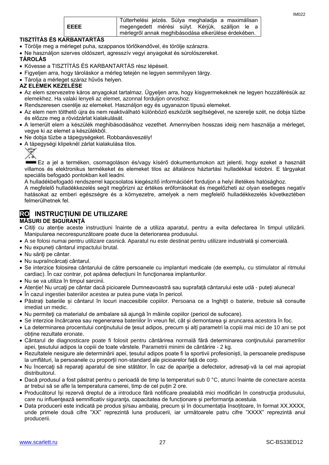|      | Túlterhelési jelzés. Súlya meghaladja a maximálisan |  |  |  |
|------|-----------------------------------------------------|--|--|--|
| EEEE | megengedett mérési súlyt. Kérjük, szálljon le a     |  |  |  |
|      | mérlegről annak meghibásodása elkerülése érdekében. |  |  |  |

#### **TISZTÍTÁS ÉS KARBANTARTÁS**

- Törölje meg a mérleget puha, szappanos törlőkendővel, és törölje szárazra.
- Ne használjon szerves oldószert, agresszív vegyi anyagokat és súrolószereket.
- **TÁROLÁS**
- Kövesse a TISZTÍTÁS ÉS KARBANTARTÁS rész lépéseit.
- Figyeljen arra, hogy tároláskor a mérleg tetején ne legyen semmilyyen tárgy.
- Tárolja a mérleget száraz hűvös helyen.

#### **AZ ELEMEK KEZELÉSE**

- Az elem szervezetre káros anyagokat tartalmaz. Ügyeljen arra, hogy kisgyermekeknek ne legyen hozzáférésük az elemekhez. Ha valaki lenyeli az elemet, azonnal forduljon orvoshoz.
- Rendszeresen cserélje az elemeket. Használjon egy és ugyanazon típusú elemeket.
- Az elem nem tölthető újra és nem reaktiválható különböző eszközök segítségével, ne szerelje szét, ne dobja tűzbe és előzze meg a rövidzárlat kialakulását.
- A lemerült elem a készülék meghibásodásához vezethet. Amennyiben hosszas ideig nem használja a mérleget, vegye ki az elemet a készülékből.
- Ne dobja tűzbe a tápegységeket. Robbanásveszély!
- A tápegységi klipeknél zárlat kialakulása tilos.

Ez a jel a terméken, csomagoláson és/vagy kísérő dokumentumokon azt jelenti, hogy ezeket a használt villamos és elektronikus termékeket és elemeket tilos az általános háztartási hulladékkal kidobni. E tárgyakat speciális befogadó pontokban kell leadni.

A hulladékbefogadó rendszerrel kapcsolatos kiegészítő információért forduljon a helyi illetékes hatósághoz.

A megfelelő hulladékkezelés segít megőrizni az értékes erőforrásokat és megelőzheti az olyan esetleges negatív hatásokat az emberi egészségre és a környezetre, amelyek a nem megfelelő hulladékkezelés következtében felmerülhetnek fel.

#### **RO INSTRUCȚIUNI DE UTILIZARE MĂSURI DE SIGURANŢĂ**

- Citiți cu atenție aceste instrucțiuni înainte de a utiliza aparatul, pentru a evita defectarea în timpul utilizării. Manipularea necorespunzătoare poate duce la deteriorarea produsului.
- A se folosi numai pentru utilizare casnică. Aparatul nu este destinat pentru utilizare industrială și comercială.
- Nu expuneți cântarul impactului brutal.
- Nu săriţi pe cântar.
- Nu supraîncărcați cântarul.
- Se interzice folosirea cântarului de către persoanele cu implanturi medicale (de exemplu, cu stimulator al ritmului cardiac). În caz contrar, pot apărea defecțiuni în funcţionarea implanturilor.
- Nu se va utiliza în timpul sarcinii.
- Atenție! Nu urcaţi pe cântar dacă picioarele Dumneavoastră sau suprafață cântarului este udă puteți aluneca!
- În cazul ingestiei bateriilor acestea ar putea pune viața în pericol.
- Păstrați bateriile și cântarul în locuri inaccesibile copiilor. Persoana ce a înghiţit o baterie, trebuie să consulte imediat un medic.
- Nu permiteţi ca materialul de ambalare să ajungă în mâinile copiilor (pericol de sufocare).
- Se interzice încărcarea sau regenerarea bateriilor în vreun fel, cât și demontarea şi aruncarea acestora în foc.
- La determinarea procentului conţinutului de ţesut adipos, precum și alți parametri la copiii mai mici de 10 ani se pot obține rezultate eronate.
- Cântarul de diagnosticare poate fi folosit pentru cântărirea normală fără determinarea conţinutului parametrilor apei, ţesutului adipos la copiii de toate vârstele. Parametrii minimi de cântărire - 2 kg.
- Rezultatele nesigure ale determinării apei, țesutul adipos poate fi la sportivii profesioniști, la persoanele predispuse la umflături, la persoanele cu proporții non-standard ale picioarelor față de corp.
- Nu încercați să reparați aparatul de sine stătător. În caz de apariție a defectelor, adresați-vă la cel mai apropiat distribuitorul.
- Dacă produsul a fost păstrat pentru o perioadă de timp la temperaturi sub 0 °C, atunci înainte de conectare acesta ar trebui să se afle la temperatura camerei, timp de cel puțin 2 ore.
- Producătorul își rezervă dreptul de a introduce fără notificare prealabilă mici modificări în construcţia produsului, care nu influențează semnificativ siguranța, capacitatea de funcționare și performanța acestuia.
- Data producerii este indicată pe produs și/sau ambalaj, precum și în documentația însoțitoare, în format XX.XXXX, unde primele două cifre "XX" reprezintă luna producerii, iar următoarele patru cifre "XXXX" reprezintă anul producerii.

IM022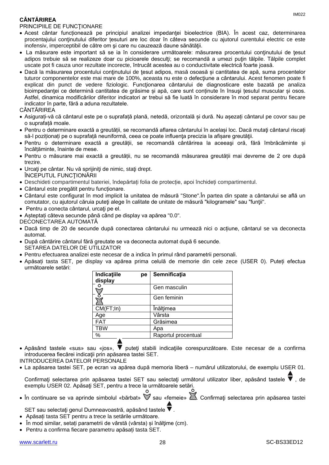### **CÂNTĂRIREA**

#### PRINCIPIILE DE FUNCTIONARE

- Acest cântar funcționează pe principiul analizei impedanţei bioelectrice (BIA). În acest caz, determinarea procentajului conţinutului diferitor țesuturi are loc doar în câteva secunde cu ajutorul curentului electric ce este inofensiv, imperceptibil de către om și care nu cauzează daune sănătății.
- La măsurare este important să se ia în considerare următoarele: măsurarea procentului continutului de tesut adipos trebuie să se realizeze doar cu picioarele desculti; se recomandă a umezi putin tălpile. Tălpile complet uscate pot fi cauza unor rezultate incorecte, întrucât acestea au o conductivitate electrică foarte joasă.
- Dacă la măsurarea procentului conţinutului de ţesut adipos, masă osoasă și cantitatea de apă, suma procentelor tuturor componentelor este mai mare de 100%, aceasta nu este o defecţiune a cântarului. Acest fenomen poate fi explicat din punct de vedere fiziologic. Funcționarea cântarului de diagnosticare este bazată pe analiza bioimpedanței ce determină cantitatea de grăsime și apă, care sunt conținute în însuși țesutul muscular și osos. Astfel, dinamica modificărilor diferitor indicatori ar trebui să fie luată în considerare în mod separat pentru fiecare indicator în parte, fără a aduna rezultatele.

#### CÂNTĂRIREA

- Asigurați-vă că cântarul este pe o suprafață plană, netedă, orizontală și dură. Nu așezați cântarul pe covor sau pe o suprafață moale.
- Pentru o determinare exactă a greutății, se recomandă aflarea cântarului în același loc. Dacă mutaţi cântarul riscați să-l poziționați pe o suprafață neuniformă, ceea ce poate influenţa precizia la afișare greutăţii.
- Pentru o determinare exactă a greutății, se recomandă cântărirea la aceeaşi oră, fără îmbrăcăminte și încălțăminte, înainte de mese.
- Pentru o măsurare mai exactă a greutății, nu se recomandă măsurarea greutății mai devreme de 2 ore după trezire.
- Urcati pe cântar. Nu vă sprijiniți de nimic, stați drept. ÎNCEPUTUL FUNCŢIONĂRII
- Deschideti compartimentul bateriei, îndepărtați folia de protecție, apoi închideți compartimentul.
- Cântarul este pregătit pentru funcționare.
- Cântarul este configurat în mod implicit la unitatea de măsură "Stone".În partea din spate a cântarului se află un comutator, cu ajutorul căruia puteți alege în calitate de unitate de măsură "kilogramele" sau "funții".
- Pentru a conecta cântarul, urcați pe el.
- Așteptați câteva secunde până când pe display va apărea "0.0".

DECONECTAREA AUTOMATĂ

- Dacă timp de 20 de secunde după conectarea cântarului nu urmează nici o acțiune, cântarul se va deconecta automat.
- După cântărire cântarul fără greutate se va deconecta automat după 6 secunde. SETAREA DATELOR DE UTILIZATOR
- Pentru efectuarea analizei este necesar de a indica în primul rând parametrii personali.
- Apăsați tasta SET, pe display va apărea prima celulă de memorie din cele zece (USER 0). Puteți efectua următoarele setări:

| Indicatiile<br>рe<br>display | Semnificația        |
|------------------------------|---------------------|
|                              | Gen masculin        |
|                              | Gen feminin         |
| CM(FT;In)                    | Înălțimea           |
| Age                          | Vârsta              |
| <b>FAT</b>                   | Grăsimea            |
| TBW                          | Apa                 |
| %                            | Raportul procentual |

• Apăsând tastele «sus» sau «jos», V puteți stabili indicațiile corespunzătoare. Este necesar de a confirma introducerea fiecărei indicaţii prin apăsarea tastei SET.

INTRODUCEREA DATELOR PERSONALE

La apăsarea tastei SET, pe ecran va apărea după memoria liberă – numărul utilizatorului, de exemplu USER 01.

Confirmați selectarea prin apăsarea tastei SET sau selectați următorul utilizator liber, apăsând tastele ▼, de exemplu USER 02. Apăsaţi SET, pentru a trece la următoarele setări.

• În continuare se va aprinde simbolul «bărbat»  $\mathbb V$  sau «femeie»  $\mathbb Z$ . Confirmati selectarea prin apăsarea tastei

 $\Omega$ 

SET sau selectați genul Dumneavoastră, apăsând tastele ▼.

- Apăsați tasta SET pentru a trece la setările următoare.
- În mod similar, setați parametrii de vârstă (vârsta) și înălţime (cm).
- Pentru a confirma fiecare parametru apăsați tasta SET.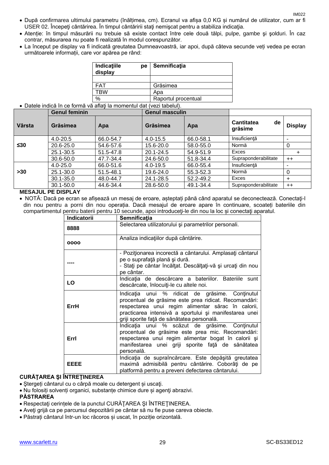- După confirmarea ultimului parametru (înălțimea, cm). Ecranul va afișa 0,0 KG și numărul de utilizator, cum ar fi USER 02. Începeţi cântărirea. În timpul cântăririi staţi nemişcat pentru a stabiliza indicaţia.
- Atenție: în timpul măsurării nu trebuie să existe contact între cele două tălpi, pulpe, gambe şi şolduri. În caz contrar, măsurarea nu poate fi realizată în modul corespunzător.
- La început pe display va fi indicată greutatea Dumneavoastră, iar apoi, după câteva secunde veți vedea pe ecran următoarele informații, care vor apărea pe rând:

| Indicatiile<br>pe<br>display | Semnificația        |
|------------------------------|---------------------|
|                              |                     |
| <b>FAT</b>                   | Grăsimea            |
| TBW                          | Apa                 |
| $\%$                         | Raportul procentual |

#### Datele indică în ce formă vă aflaţi la momentul dat (vezi tabelul).

|           | <b>Genul feminin</b> |           | <b>Genul masculin</b> |           |                                    |                |
|-----------|----------------------|-----------|-----------------------|-----------|------------------------------------|----------------|
| Vârsta    | Grăsimea             | Apa       | Grăsimea              | Apa       | <b>Cantitatea</b><br>de<br>grăsime | <b>Display</b> |
|           | $4.0 - 20.5$         | 66.0-54.7 | $4.0 - 15.5$          | 66.0-58.1 | Insuficiență                       |                |
| $\leq 30$ | 20.6-25.0            | 54.6-57.6 | 15.6-20.0             | 58.0-55.0 | Normă                              |                |
|           | 25.1-30.5            | 51.5-47.8 | 20.1-24.5             | 54.9-51.9 | Exces                              | +              |
|           | 30.6-50.0            | 47.7-34.4 | 24.6-50.0             | 51.8-34.4 | Supraponderabilitate<br>$++$       |                |
|           | $4.0 - 25.0$         | 66.0-51.6 | $4.0 - 19.5$          | 66.0-55.4 | Insuficientă                       |                |
| $>30$     | 25.1-30.0            | 51.5-48.1 | 19.6-24.0             | 55.3-52.3 | Normă                              |                |
|           | $30.1 - 35.0$        | 48.0-44.7 | 24.1-28.5             | 52.2-49.2 | Exces                              | ÷              |
|           | $30.1 - 50.0$        | 44.6-34.4 | 28.6-50.0             | 49.1-34.4 | Supraponderabilitate               | $++$           |

#### **MESAJUL PE DISPLAY**

 NOTĂ: Dacă pe ecran se afișează un mesaj de eroare, așteptați până când aparatul se deconectează. Conectaţi-l din nou pentru a porni din nou operația. Dacă mesajul de eroare apare în continuare, scoateți bateriile din compartimentul pentru baterii pentru 10 secunde, apoi introduceți-le din nou la loc și conectați aparatul.

| <b>Indicatorii</b> | Semnificatia                                                                                                                                                                                                                                                           |  |  |
|--------------------|------------------------------------------------------------------------------------------------------------------------------------------------------------------------------------------------------------------------------------------------------------------------|--|--|
| 8888               | Selectarea utilizatorului și parametrilor personali.                                                                                                                                                                                                                   |  |  |
| 0000               | Analiza indicațiilor după cântărire.                                                                                                                                                                                                                                   |  |  |
|                    | - Poziționarea incorectă a cântarului. Amplasați cântarul<br>pe o suprafață plană și dură.<br>- Stați pe cântar încălțat. Descălțați-vă și urcați din nou<br>pe cântar.                                                                                                |  |  |
| LO                 | Indicația de descărcare a bateriilor. Bateriile sunt<br>descărcate, înlocuiți-le cu altele noi.                                                                                                                                                                        |  |  |
| ErrH               | Indicația unui % ridicat de grăsime. Conținutul<br>procentual de grăsime este prea ridicat. Recomandări:<br>respectarea unui regim alimentar sărac în calorii,<br>practicarea intensivă a sportului și manifestarea unei<br>griji sporite față de sănătatea personală. |  |  |
| Errl               | Indicația unui % scăzut de grăsime. Conținutul<br>procentual de grăsime este prea mic. Recomandări:<br>respectarea unui regim alimentar bogat în calorii și<br>manifestarea unei griji sporite față de sănătatea<br>personală.                                         |  |  |
| <b>EEEE</b>        | Indicația de supraîncărcare. Este depășită greutatea<br>maximă admisibilă pentru cântărire. Coborâți de pe<br>platformă pentru a preveni defectarea cântarului.                                                                                                        |  |  |

#### **CURĂŢAREA ŞI ÎNTREŢINEREA**

- Ştergeți cântarul cu o cârpă moale cu detergent și uscaţi.
- Nu folosiți solvenți organici, substanțe chimice dure și agenţi abrazivi.

#### **PĂSTRAREA**

- Respectaţi cerințele de la punctul CURĂŢAREA ŞI ÎNTREŢINEREA.
- Aveţi grijă ca pe parcursul depozitării pe cântar să nu fie puse careva obiecte.
- Păstrați cântarul într-un loc răcoros și uscat, în poziție orizontală.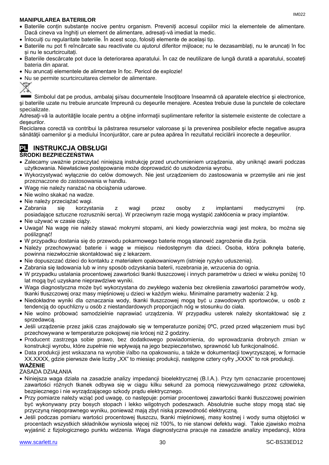#### **MANIPULAREA BATERIILOR**

- Bateriile conțin substanțe nocive pentru organism. Preveniți accesul copiilor mici la elementele de alimentare. Dacă cineva va înghiți un element de alimentare, adresați-vă imediat la medic.
- Înlocuiți cu regularitate bateriile. În acest scop, folosiți elemente de același tip.
- Bateriile nu pot fi reîncărcate sau reactivate cu ajutorul diferitor mijloace; nu le dezasamblați, nu le aruncați în foc și nu le scurtcircuitați.
- Bateriile descărcate pot duce la deteriorarea aparatului. În caz de neutilizare de lungă durată a aparatului, scoateți bateria din aparat.
- Nu aruncați elementele de alimentare în foc. Pericol de explozie!
- Nu se permite scurtcircuitarea clemelor de alimentare.



Simbolul dat pe produs, ambalaj şi/sau documentele însoţitoare înseamnă că aparatele electrice şi electronice, şi bateriile uzate nu trebuie aruncate împreună cu deşeurile menajere. Acestea trebuie duse la punctele de colectare specializate.

Adresaţi-vă la autorităţile locale pentru a obţine informaţii suplimentare referitor la sistemele existente de colectare a deşeurilor.

Reciclarea corectă va contribui la păstrarea resurselor valoroase şi la prevenirea posibilelor efecte negative asupra sănătății oamenilor și a mediului înconjurător, care ar putea apărea în rezultatul reciclării incorecte a deșeurilor.

# **PL INSTRUKCJA OBSŁUGI**

#### **ŚRODKI BEZPIECZEŃSTWA**

- Zalecamy uważnie przeczytać niniejszą instrukcję przed uruchomieniem urządzenia, aby uniknąć awarii podczas użytkowania. Niewłaściwe postępowanie może doprowadzić do uszkodzenia wyrobu.
- Wykorzystywać wyłącznie do celów domowych. Nie jest urządzeniem do zastosowania w przemyśle ani nie jest przeznaczone do zastosowania w handlu.
- Wagę nie należy narażać na obciążenia udarowe.
- Nie wolno skakać na wadze.
- Nie należy przeciążać wagi.
- Zabrania się korzystania z wagi przez osoby z implantami medycznymi (np. posiadające sztuczne rozruszniki serca). W przeciwnym razie mogą wystąpić zakłócenia w pracy implantów.
- Nie używać w czasie ciąży.
- Uwaga! Na wagę nie należy stawać mokrymi stopami, ani kiedy powierzchnia wagi jest mokra, bo można się poślizgnąć!
- W przypadku dostania się do przewodu pokarmowego baterie mogą stanowić zagrożenie dla życia.
- Należy przechowywać baterie i wagę w miejscu niedostępnym dla dzieci. Osoba, która połknęła baterię, powinna niezwłocznie skontaktować się z lekarzem.
- Nie dopuszczać dzieci do kontaktu z materiałem opakowaniowym (istnieje ryzyko uduszenia).
- Zabrania się ładowania lub w inny sposób odzyskania baterii, rozebrania je, wrzucenia do ognia.
- W przypadku ustalania procentowej zawartości tkanki tłuszczowej i innych parametrów u dzieci w wieku poniżej 10 lat mogą być uzyskane nieprawdziwe wyniki.
- Waga diagnostyczna może być wykorzystana do zwykłego ważenia bez określenia zawartości parametrów wody, tkanki tłuszczowej oraz masy mięśniowej u dzieci w każdym wieku. Minimalne parametry ważenia: 2 kg.
- Niedokładne wyniki dla oznaczania wody, tkanki tłuszczowej mogą być u zawodowych sportowców, u osób z tendencją do opuchlizny u osób z niestandardowych proporcjach nóg w stosunku do ciała.
- Nie wolno próbować samodzielnie naprawiać urządzenia. W przypadku usterek należy skontaktować się z sprzedawcą.
- Jeśli urządzenie przez jakiś czas znajdowało się w temperaturze poniżej 0ºC, przed przed włączeniem musi być przechowywane w temperaturze pokojowej nie krócej niż 2 godziny.
- Producent zastrzega sobie prawo, bez dodatkowego powiadomienia, do wprowadzania drobnych zmian w konstrukcji wyrobu, które zupełnie nie wpływają na jego bezpieczeństwo, sprawność lub funkcjonalność.
- Data produkcji jest wskazana na wyrobie i/albo na opakowaniu, a także w dokumentacji towyrzyszącej, w formacie XX.XXXX, gdzie pierwsze dwie liczby "XX" to miesiąc produkcji, następne cztery cyfry "XXXX" to rok produkcji.

#### **WAŻENIE**

#### ZASADA DZIAŁANIA

- Niniejsza waga działa na zasadzie analizy impedancji bioelektrycznej (B.I.A.). Przy tym oznaczanie procentowej zawartości różnych tkanek odbywa się w ciągu kilku sekund za pomocą niewyczuwalnego przez człowieka, bezpiecznego i nie wyrządzającego szkody prądu elektrycznego.
- Przy pomiarze należy wziąć pod uwagę, co następuje: pomiar procentowej zawartości tkanki tłuszczowej powinien być wykonywany przy bosych stopach i lekko wilgotnych podeszwach. Absolutnie suche stopy mogą stać się przyczyną niepoprawnego wyniku, ponieważ mają zbyt niską przewodność elektryczną.
- Jeśli podczas pomiaru wartości procentowej tłuszczu, tkanki mięśniowej, masy kostnej i wody suma objętości w procentach wszystkich składników wyniosła więcej niż 100%, to nie stanowi defektu wagi. Takie zjawisko można wyjaśnić z fizjologicznego punktu widzenia. Waga diagnostyczna pracuje na zasadzie analizy impedancji, która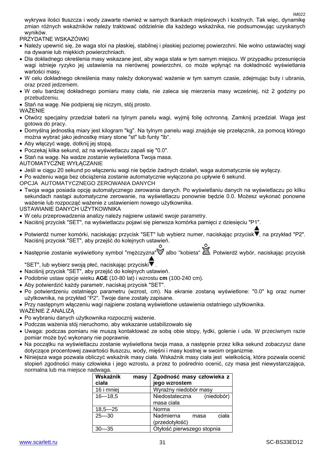wykrywa ilości tłuszcza i wody zawarte również w samych tkankach mięśniowych i kostnych. Tak więc, dynamikę zmian różnych wskaźników należy traktować oddzielnie dla każdego wskaźnika, nie podsumowując uzyskanych wyników.

PRZYDATNE WSKAZÓWKI

- Należy upewnić się, że waga stoi na płaskiej, stabilnej i płaskiej poziomej powierzchni. Nie wolno ustawiaćtej wagi na dywanie lub miękkich powierzchniach.
- Dla dokładnego określenia masy wskazane jest, aby waga stała w tym samym miejscu. W przypadku przesunięcia wagi istnieje ryzyko jej ustawienia na nierównej powierzchni, co może wpłynąć na dokładność wyświetlania wartości masy.
- W celu dokładnego określenia masy należy dokonywać ważenie w tym samym czasie, zdejmując buty i ubrania, oraz przed jedzeniem.
- W celu bardziej dokładnego pomiaru masy ciała, nie zaleca się mierzenia masy wcześniej, niż 2 godziny po przebudzeniu.
- Stań na wagę. Nie podpieraj się niczym, stój prosto.

#### WAŻENIE

- Otwórz specjalny przedział baterii na tylnym panelu wagi, wyjmij folię ochronną. Zamknij przedział. Waga jest gotowa do pracy.
- Domyślną jednostką miary jest kilogram "kg". Na tylnym panelu wagi znajduje się przełącznik, za pomocą którego można wybrać jako jednostkę miary stone "st" lub funty "lb".
- Aby włączyć wagę, dotknij jej stopą.
- Poczekaj kilka sekund, aż na wyświetlaczu zapali się "0.0".
- Stań na wagę. Na wadze zostanie wyświetlona Twoja masa.
- AUTOMATYCZNE WYŁĄCZANIE
- Jeśli w ciągu 20 sekund po włączeniu wagi nie będzie żadnych działań, waga automatycznie się wyłączy.
- Po ważeniu waga bez obciążenia zostanie automatycznie wyłączona po upływie 6 sekund.
- OPCJA AUTOMATYCZNEGO ZEROWANIA DANYCH
- Twoja waga posiada opcję automatycznego zerowania danych. Po wyświetlaniu danych na wyświetlaczu po kilku sekundach nastąpi automatyczne zerowanie, na wyświetlaczu ponownie będzie 0.0. Możesz wykonać ponowne ważenie lub rozpocząć ważenie z ustawieniem nowego użytkownika.

USTAWIANIE DANYCH UŻYTKOWNIKA

- W celu przeprowadzenia analizy należy najpierw ustawić swoje parametry.
- Naciśnij przycisk "SET", na wyświetlaczu pojawi się pierwsza komórka pamięci z dziesięciu "P1".
- Potwierdź numer komórki, naciskając przycisk "SET" lub wybierz numer, naciskając przycisk▼, na przykład "P2". Naciśnij przycisk "SET", aby przejść do kolejnych ustawień.
- Nastepnie zostanie wyświetlony symbol "mężczyzna" albo "kobieta" **Za. Potwierdź wybór, naciskając przycisk**

"SET", lub wybierz swoją płeć, naciskając przyciski $\blacktriangledown$ .

- Naciśnij przycisk "SET", aby przejść do kolejnych ustawień.
- Podobnie ustaw opcje wieku **AGE** (10-80 lat) i wzrostu **cm** (100-240 cm).
- Aby potwierdzić każdy parametr, naciskaj przycisk "SET".
- Po potwierdzeniu ostatniego parametru (wzrost, cm). Na ekranie zostaną wyświetlone: "0.0" kg oraz numer użytkownika, na przykład "P2". Twoje dane zostały zapisane.
- Przy następnym włączeniu wagi najpierw zostaną wyświetlone ustawienia ostatniego użytkownika.
- WAŻENIE Z ANALIZĄ
- Po wybraniu danych użytkownika rozpocznij ważenie.
- Podczas ważenia stój nieruchomo, aby wskazanie ustabilizowało się
- Uwaga: podczas pomiaru nie muszą kontaktować ze sobą obie stopy, łydki, golenie i uda. W przeciwnym razie pomiar może być wykonany nie poprawnie.
- Na początku na wyświetlaczu zostanie wyświetlona twoja masa, a następnie przez kilka sekund zobaczysz dane dotyczące procentowej zawartości tłuszczu, wody, mięśni i masy kostnej w swoim organizmie.
- Niniejsza waga pozwala obliczyć wskaźnik masy ciała. Wskaźnik masy ciała jest wielkością, która pozwala ocenić stopień zgodności masy człowieka i jego wzrostu, a przez to pośrednio ocenić, czy masa jest niewystarczająca, normalna lub ma miejsce nadwaga.

| Wskaźnik<br>masy<br>ciała | Zgodność masy człowieka z<br>jego wzrostem   |
|---------------------------|----------------------------------------------|
| 16 i mniej                | Wyraźny niedobór masy                        |
| $16 - 18,5$               | Niedostateczna<br>(niedobór)<br>masa ciała   |
| $18,5 - 25$               | Norma                                        |
| $25 - 30$                 | Nadmierna<br>ciała<br>masa<br>(przedotyłość) |
| -35                       | Otyłość pierwszego stopnia                   |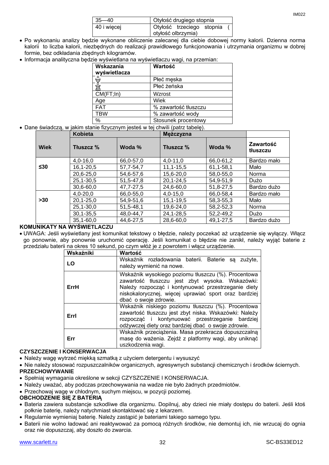| $35 - 40$   | Otyłość drugiego stopnia |                           |  |  |
|-------------|--------------------------|---------------------------|--|--|
| 40 i więcej |                          | Otyłość trzeciego stopnia |  |  |
|             | otyłość olbrzymia)       |                           |  |  |

- Po wykonaniu analizy będzie wykonane obliczenie zalecanej dla ciebie dobowej normy kalorii. Dzienna norma kalorii to liczba kalorii, niezbędnych do realizacji prawidłowego funkcjonowania i utrzymania organizmu w dobrej formie, bez odkładania zbędnych kilogramów.
- Informacja analityczna będzie wyświetlana na wyświetlaczu wagi, na przemian:

| Wskazania<br>wyświetlacza | Wartość              |
|---------------------------|----------------------|
|                           | Płeć męska           |
|                           | Płeć żeńska          |
| CM(FT;In)                 | Wzrost               |
| Age                       | Wiek                 |
| <b>FAT</b>                | % zawartość tłuszczu |
| <b>TBW</b>                | % zawartość wody     |
| %                         | Stosunek procentowy  |

Dane świadczą, w jakim stanie fizycznym jesteś w tej chwili (patrz tabelę).

|             | <b>Kobieta</b>  |             | Mężczyzna       |             |                       |
|-------------|-----------------|-------------|-----------------|-------------|-----------------------|
| <b>Wiek</b> | Tłuszcz %       | Woda %      | Tłuszcz %       | Woda %      | Zawartość<br>tłuszczu |
|             | $4,0-16,0$      | 66,0-57,0   | $4,0-11,0$      | 66,0-61,2   | Bardzo mało           |
| $\leq 30$   | $16, 1 - 20, 5$ | 57,7-54,7   | $11, 1 - 15, 5$ | 61,1-58,1   | Mało                  |
|             | 20,6-25,0       | 54,6-57,6   | 15,6-20,0       | 58,0-55,0   | Norma                 |
|             | $25, 1 - 30, 5$ | 51, 5-47, 8 | $20, 1 - 24, 5$ | 54,9-51,9   | Dużo                  |
|             | $30,6 - 60,0$   | 47,7-27,5   | 24,6-60,0       | 51,8-27,5   | Bardzo dużo           |
|             | $4,0 - 20,0$    | 66,0-55,0   | $4,0-15,0$      | 66,0-58,4   | Bardzo mało           |
| >30         | $20, 1 - 25, 0$ | 54,9-51,6   | $15, 1 - 19, 5$ | 58, 3-55, 3 | Mało                  |
|             | $25, 1 - 30, 0$ | 51, 5-48, 1 | 19,6-24,0       | 58,2-52,3   | Norma                 |
|             | $30, 1 - 35, 5$ | 48,0-44,7   | 24,1-28,5       | 52,2-49,2   | Dużo                  |
|             | $35,1 - 60,0$   | 44,6-27,5   | 28,6-60,0       | 49, 1-27, 5 | Bardzo dużo           |

#### **KOMUNIKATY NA WYŚWIETLACZU**

 UWAGA: Jeśli wyświetlany jest komunikat tekstowy o błędzie, należy poczekać aż urządzenie się wyłączy. Włącz go ponownie, aby ponownie uruchomić operację. Jeśli komunikat o błędzie nie zanikł, należy wyjąć baterie z przedziału baterii na okres 10 sekund, po czym włóż je z powrotem i włącz urządzenie.

| Wskaźniki | Wartość                                                                                                                                                                                                                                         |  |  |
|-----------|-------------------------------------------------------------------------------------------------------------------------------------------------------------------------------------------------------------------------------------------------|--|--|
| LO        | Wskaźnik rozładowania baterii. Baterie są zużyte,<br>należy wymienić na nowe.                                                                                                                                                                   |  |  |
| ErrH      | Wskaźnik wysokiego poziomu tłuszczu (%). Procentowa<br>zawartość tłuszczu jest zbyt wysoka. Wskazówki:<br>Należy rozpocząć i kontynuować przestrzeganie diety<br>niskokalorycznej, więcej uprawiać sport oraz bardziej<br>dbać o swoje zdrowie. |  |  |
| Errl      | Wskaźnik niskiego poziomu tłuszczu (%). Procentowa<br>zawartość tłuszczu jest zbyt niska. Wskazówki: Należy<br>rozpocząć i kontynuować przestrzeganie bardziej<br>odżywczej diety oraz bardziej dbać o swoje zdrowie.                           |  |  |
| Err       | Wskaźnik przeciążenia. Masa przekracza dopuszczalną<br>masę do ważenia. Zejdź z platformy wagi, aby uniknąć<br>uszkodzenia wagi.                                                                                                                |  |  |

#### **CZYSZCZENIE I KONSERWACJA**

- Należy wagę wytrzeć miękką szmatką z użyciem detergentu i wysuszyć
- Nie należy stosować rozpuszczalników organicznych, agresywnych substancji chemicznych i środków ściernych. **PRZECHOWYWANIE**
- Spełniaj wymagania określone w sekcji CZYSZCZENIE I KONSERWACJA.
- Należy uważać, aby podczas przechowywania na wadze nie było żadnych przedmiotów.
- Przechowaj wagę w chłodnym, suchym miejscu, w pozycji poziomej.

#### **OBCHODZENIE SIĘ Z BATERIĄ**

- Bateria zawiera substancje szkodliwe dla organizmu. Dopilnuj, aby dzieci nie miały dostępu do baterii. Jeśli ktoś połknie baterię, należy natychmiast skontaktować się z lekarzem.
- Regularnie wymieniaj baterię. Należy zastąpić je bateriami takiego samego typu.
- Baterii nie wolno ładować ani reaktywować za pomocą różnych środków, nie demontuj ich, nie wrzucaj do ognia oraz nie dopuszczaj, aby doszło do zwarcia.